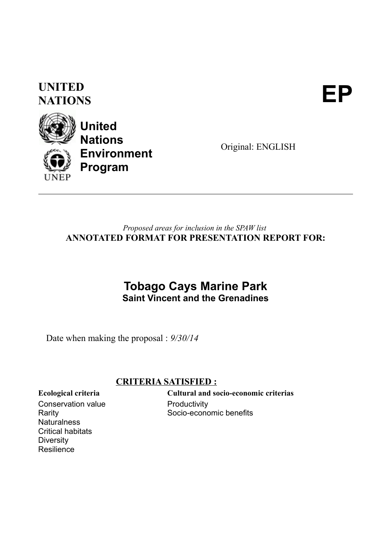### **UNITED** UNITED<br>NATIONS



**United Nations Environment Program**

Original: ENGLISH

### *Proposed areas for inclusion in the SPAW list* **ANNOTATED FORMAT FOR PRESENTATION REPORT FOR:**

### **Tobago Cays Marine Park Saint Vincent and the Grenadines**

Date when making the proposal : *9/30/14*

### **CRITERIA SATISFIED :**

Conservation value Rarity **Naturalness** Critical habitats **Diversity Resilience** 

**Ecological criteria Cultural and socio-economic criterias Productivity** Socio-economic benefits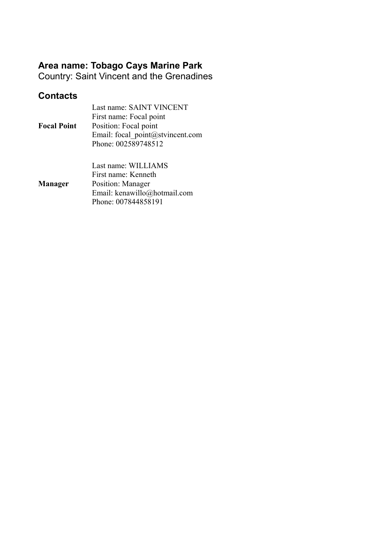### **Area name: Tobago Cays Marine Park**

Country: Saint Vincent and the Grenadines

### **Contacts**

|                    | Last name: SAINT VINCENT         |
|--------------------|----------------------------------|
|                    | First name: Focal point          |
| <b>Focal Point</b> | Position: Focal point            |
|                    | Email: focal point@stvincent.com |
|                    | Phone: 002589748512              |
|                    |                                  |
|                    | Last name: WILLIAMS              |
|                    | First name: Kenneth              |
| <b>Manager</b>     | Position: Manager                |
|                    | Email: kenawillo@hotmail.com     |
|                    | Phone: 007844858191              |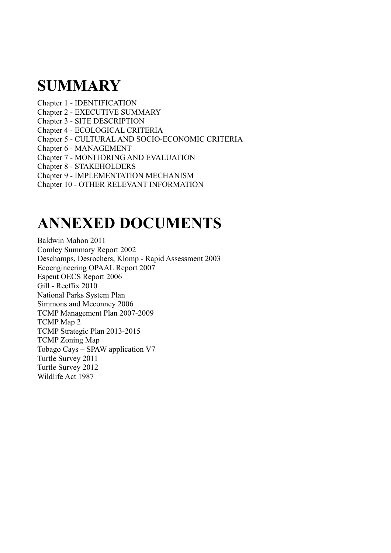## **SUMMARY**

Chapter 1 - IDENTIFICATION Chapter 2 - EXECUTIVE SUMMARY Chapter 3 - SITE DESCRIPTION Chapter 4 - ECOLOGICAL CRITERIA Chapter 5 - CULTURAL AND SOCIO-ECONOMIC CRITERIA Chapter 6 - MANAGEMENT Chapter 7 - MONITORING AND EVALUATION Chapter 8 - STAKEHOLDERS Chapter 9 - IMPLEMENTATION MECHANISM Chapter 10 - OTHER RELEVANT INFORMATION

## **ANNEXED DOCUMENTS**

Baldwin Mahon 2011 Comley Summary Report 2002 Deschamps, Desrochers, Klomp - Rapid Assessment 2003 Ecoengineering OPAAL Report 2007 Espeut OECS Report 2006 Gill - Reeffix 2010 National Parks System Plan Simmons and Mcconney 2006 TCMP Management Plan 2007-2009 TCMP Map 2 TCMP Strategic Plan 2013-2015 TCMP Zoning Map Tobago Cays – SPAW application V7 Turtle Survey 2011 Turtle Survey 2012 Wildlife Act 1987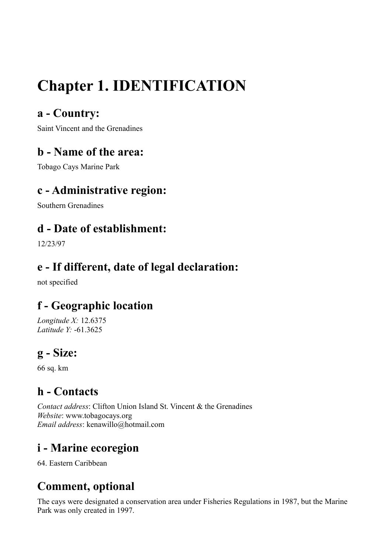# **Chapter 1. IDENTIFICATION**

### **a - Country:**

Saint Vincent and the Grenadines

### **b - Name of the area:**

Tobago Cays Marine Park

### **c - Administrative region:**

Southern Grenadines

### **d - Date of establishment:**

12/23/97

### **e - If different, date of legal declaration:**

not specified

### **f - Geographic location**

*Longitude X:* 12.6375 *Latitude Y:* -61.3625

### **g - Size:**

66 sq. km

### **h - Contacts**

*Contact address*: Clifton Union Island St. Vincent & the Grenadines *Website*: www.tobagocays.org *Email address*: kenawillo@hotmail.com

### **i - Marine ecoregion**

64. Eastern Caribbean

## **Comment, optional**

The cays were designated a conservation area under Fisheries Regulations in 1987, but the Marine Park was only created in 1997.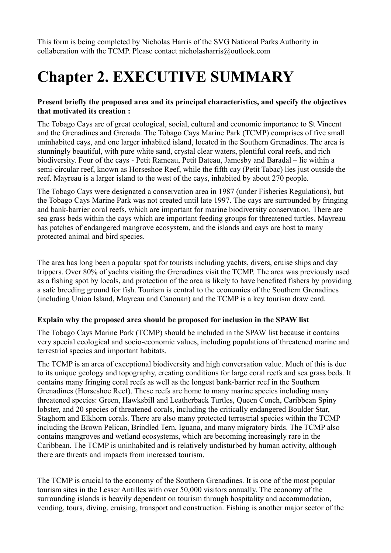This form is being completed by Nicholas Harris of the SVG National Parks Authority in collaberation with the TCMP. Please contact nicholasharris@outlook.com

## **Chapter 2. EXECUTIVE SUMMARY**

### **Present briefly the proposed area and its principal characteristics, and specify the objectives that motivated its creation :**

The Tobago Cays are of great ecological, social, cultural and economic importance to St Vincent and the Grenadines and Grenada. The Tobago Cays Marine Park (TCMP) comprises of five small uninhabited cays, and one larger inhabited island, located in the Southern Grenadines. The area is stunningly beautiful, with pure white sand, crystal clear waters, plentiful coral reefs, and rich biodiversity. Four of the cays - Petit Rameau, Petit Bateau, Jamesby and Baradal – lie within a semi-circular reef, known as Horseshoe Reef, while the fifth cay (Petit Tabac) lies just outside the reef. Mayreau is a larger island to the west of the cays, inhabited by about 270 people.

The Tobago Cays were designated a conservation area in 1987 (under Fisheries Regulations), but the Tobago Cays Marine Park was not created until late 1997. The cays are surrounded by fringing and bank-barrier coral reefs, which are important for marine biodiversity conservation. There are sea grass beds within the cays which are important feeding groups for threatened turtles. Mayreau has patches of endangered mangrove ecosystem, and the islands and cays are host to many protected animal and bird species.

The area has long been a popular spot for tourists including yachts, divers, cruise ships and day trippers. Over 80% of yachts visiting the Grenadines visit the TCMP. The area was previously used as a fishing spot by locals, and protection of the area is likely to have benefited fishers by providing a safe breeding ground for fish. Tourism is central to the economies of the Southern Grenadines (including Union Island, Mayreau and Canouan) and the TCMP is a key tourism draw card.

#### **Explain why the proposed area should be proposed for inclusion in the SPAW list**

The Tobago Cays Marine Park (TCMP) should be included in the SPAW list because it contains very special ecological and socio-economic values, including populations of threatened marine and terrestrial species and important habitats.

The TCMP is an area of exceptional biodiversity and high conversation value. Much of this is due to its unique geology and topography, creating conditions for large coral reefs and sea grass beds. It contains many fringing coral reefs as well as the longest bank-barrier reef in the Southern Grenadines (Horseshoe Reef). These reefs are home to many marine species including many threatened species: Green, Hawksbill and Leatherback Turtles, Queen Conch, Caribbean Spiny lobster, and 20 species of threatened corals, including the critically endangered Boulder Star, Staghorn and Elkhorn corals. There are also many protected terrestrial species within the TCMP including the Brown Pelican, Brindled Tern, Iguana, and many migratory birds. The TCMP also contains mangroves and wetland ecosystems, which are becoming increasingly rare in the Caribbean. The TCMP is uninhabited and is relatively undisturbed by human activity, although there are threats and impacts from increased tourism.

The TCMP is crucial to the economy of the Southern Grenadines. It is one of the most popular tourism sites in the Lesser Antilles with over 50,000 visitors annually. The economy of the surrounding islands is heavily dependent on tourism through hospitality and accommodation, vending, tours, diving, cruising, transport and construction. Fishing is another major sector of the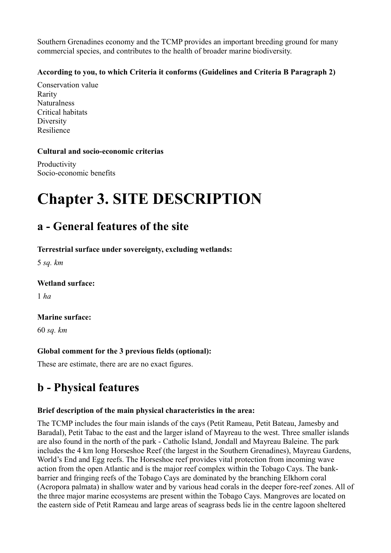Southern Grenadines economy and the TCMP provides an important breeding ground for many commercial species, and contributes to the health of broader marine biodiversity.

### **According to you, to which Criteria it conforms (Guidelines and Criteria B Paragraph 2)**

Conservation value Rarity Naturalness Critical habitats Diversity Resilience

### **Cultural and socio-economic criterias**

Productivity Socio-economic benefits

## **Chapter 3. SITE DESCRIPTION**

### **a - General features of the site**

**Terrestrial surface under sovereignty, excluding wetlands:** 

5 *sq. km*

### **Wetland surface:**

1 *ha*

### **Marine surface:**

60 *sq. km*

### **Global comment for the 3 previous fields (optional):**

These are estimate, there are are no exact figures.

### **b - Physical features**

### **Brief description of the main physical characteristics in the area:**

The TCMP includes the four main islands of the cays (Petit Rameau, Petit Bateau, Jamesby and Baradal), Petit Tabac to the east and the larger island of Mayreau to the west. Three smaller islands are also found in the north of the park - Catholic Island, Jondall and Mayreau Baleine. The park includes the 4 km long Horseshoe Reef (the largest in the Southern Grenadines), Mayreau Gardens, World's End and Egg reefs. The Horseshoe reef provides vital protection from incoming wave action from the open Atlantic and is the major reef complex within the Tobago Cays. The bankbarrier and fringing reefs of the Tobago Cays are dominated by the branching Elkhorn coral (Acropora palmata) in shallow water and by various head corals in the deeper fore-reef zones. All of the three major marine ecosystems are present within the Tobago Cays. Mangroves are located on the eastern side of Petit Rameau and large areas of seagrass beds lie in the centre lagoon sheltered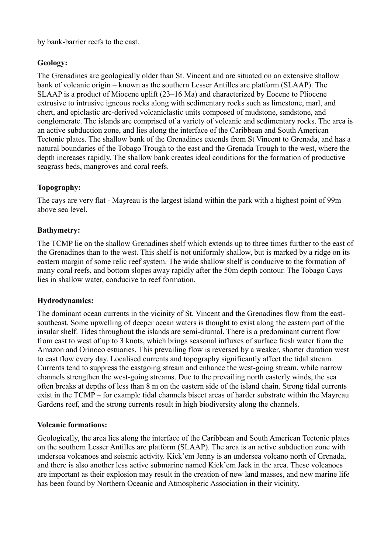by bank-barrier reefs to the east.

### **Geology:**

The Grenadines are geologically older than St. Vincent and are situated on an extensive shallow bank of volcanic origin – known as the southern Lesser Antilles arc platform (SLAAP). The SLAAP is a product of Miocene uplift (23–16 Ma) and characterized by Eocene to Pliocene extrusive to intrusive igneous rocks along with sedimentary rocks such as limestone, marl, and chert, and epiclastic arc-derived volcaniclastic units composed of mudstone, sandstone, and conglomerate. The islands are comprised of a variety of volcanic and sedimentary rocks. The area is an active subduction zone, and lies along the interface of the Caribbean and South American Tectonic plates. The shallow bank of the Grenadines extends from St Vincent to Grenada, and has a natural boundaries of the Tobago Trough to the east and the Grenada Trough to the west, where the depth increases rapidly. The shallow bank creates ideal conditions for the formation of productive seagrass beds, mangroves and coral reefs.

### **Topography:**

The cays are very flat - Mayreau is the largest island within the park with a highest point of 99m above sea level.

### **Bathymetry:**

The TCMP lie on the shallow Grenadines shelf which extends up to three times further to the east of the Grenadines than to the west. This shelf is not uniformly shallow, but is marked by a ridge on its eastern margin of some relic reef system. The wide shallow shelf is conducive to the formation of many coral reefs, and bottom slopes away rapidly after the 50m depth contour. The Tobago Cays lies in shallow water, conducive to reef formation.

#### **Hydrodynamics:**

The dominant ocean currents in the vicinity of St. Vincent and the Grenadines flow from the eastsoutheast. Some upwelling of deeper ocean waters is thought to exist along the eastern part of the insular shelf. Tides throughout the islands are semi-diurnal. There is a predominant current flow from east to west of up to 3 knots, which brings seasonal influxes of surface fresh water from the Amazon and Orinoco estuaries. This prevailing flow is reversed by a weaker, shorter duration west to east flow every day. Localised currents and topography significantly affect the tidal stream. Currents tend to suppress the eastgoing stream and enhance the west-going stream, while narrow channels strengthen the west-going streams. Due to the prevailing north easterly winds, the sea often breaks at depths of less than 8 m on the eastern side of the island chain. Strong tidal currents exist in the TCMP – for example tidal channels bisect areas of harder substrate within the Mayreau Gardens reef, and the strong currents result in high biodiversity along the channels.

#### **Volcanic formations:**

Geologically, the area lies along the interface of the Caribbean and South American Tectonic plates on the southern Lesser Antilles arc platform (SLAAP). The area is an active subduction zone with undersea volcanoes and seismic activity. Kick'em Jenny is an undersea volcano north of Grenada, and there is also another less active submarine named Kick'em Jack in the area. These volcanoes are important as their explosion may result in the creation of new land masses, and new marine life has been found by Northern Oceanic and Atmospheric Association in their vicinity.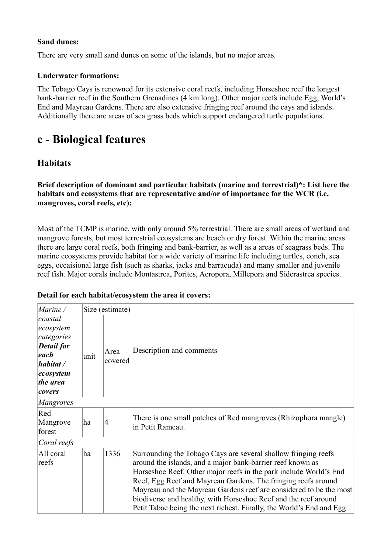#### **Sand dunes:**

There are very small sand dunes on some of the islands, but no major areas.

#### **Underwater formations:**

The Tobago Cays is renowned for its extensive coral reefs, including Horseshoe reef the longest bank-barrier reef in the Southern Grenadines (4 km long). Other major reefs include Egg, World's End and Mayreau Gardens. There are also extensive fringing reef around the cays and islands. Additionally there are areas of sea grass beds which support endangered turtle populations.

### **c - Biological features**

### **Habitats**

**Brief description of dominant and particular habitats (marine and terrestrial)\*: List here the habitats and ecosystems that are representative and/or of importance for the WCR (i.e. mangroves, coral reefs, etc):** 

Most of the TCMP is marine, with only around 5% terrestrial. There are small areas of wetland and mangrove forests, but most terrestrial ecosystems are beach or dry forest. Within the marine areas there are large coral reefs, both fringing and bank-barrier, as well as a areas of seagrass beds. The marine ecosystems provide habitat for a wide variety of marine life including turtles, conch, sea eggs, occaisional large fish (such as sharks, jacks and barracuda) and many smaller and juvenile reef fish. Major corals include Montastrea, Porites, Acropora, Millepora and Siderastrea species.

| Marine /                                                                                                        |      | Size (estimate) |                                                                                                                                                                                                                                                                                                                                                                                                                                                                                     |  |
|-----------------------------------------------------------------------------------------------------------------|------|-----------------|-------------------------------------------------------------------------------------------------------------------------------------------------------------------------------------------------------------------------------------------------------------------------------------------------------------------------------------------------------------------------------------------------------------------------------------------------------------------------------------|--|
| coastal<br>ecosystem<br>categories<br><b>Detail</b> for<br>each<br>habitat /<br>ecosystem<br>the area<br>covers | unit | Area<br>covered | Description and comments                                                                                                                                                                                                                                                                                                                                                                                                                                                            |  |
| Mangroves                                                                                                       |      |                 |                                                                                                                                                                                                                                                                                                                                                                                                                                                                                     |  |
| Red<br>Mangrove<br>forest                                                                                       | ha   | $\overline{4}$  | There is one small patches of Red mangroves (Rhizophora mangle)<br>in Petit Rameau.                                                                                                                                                                                                                                                                                                                                                                                                 |  |
| Coral reefs                                                                                                     |      |                 |                                                                                                                                                                                                                                                                                                                                                                                                                                                                                     |  |
| All coral<br>reefs                                                                                              | ha   | 1336            | Surrounding the Tobago Cays are several shallow fringing reefs<br>around the islands, and a major bank-barrier reef known as<br>Horseshoe Reef. Other major reefs in the park include World's End<br>Reef, Egg Reef and Mayreau Gardens. The fringing reefs around<br>Mayreau and the Mayreau Gardens reef are considered to be the most<br>biodiverse and healthy, with Horseshoe Reef and the reef around<br>Petit Tabac being the next richest. Finally, the World's End and Egg |  |

#### **Detail for each habitat/ecosystem the area it covers:**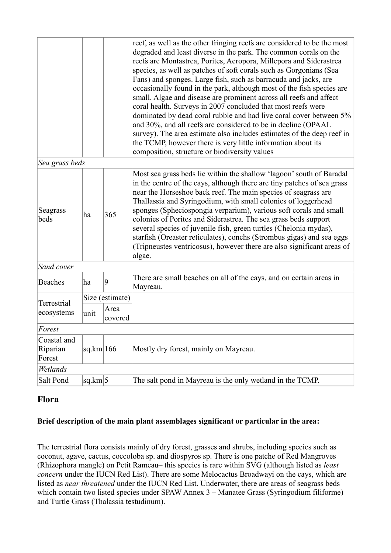|                                   |           |                 | reef, as well as the other fringing reefs are considered to be the most<br>degraded and least diverse in the park. The common corals on the<br>reefs are Montastrea, Porites, Acropora, Millepora and Siderastrea<br>species, as well as patches of soft corals such as Gorgonians (Sea<br>Fans) and sponges. Large fish, such as barracuda and jacks, are<br>occasionally found in the park, although most of the fish species are<br>small. Algae and disease are prominent across all reefs and affect<br>coral health. Surveys in 2007 concluded that most reefs were<br>dominated by dead coral rubble and had live coral cover between 5%<br>and 30%, and all reefs are considered to be in decline (OPAAL<br>survey). The area estimate also includes estimates of the deep reef in<br>the TCMP, however there is very little information about its<br>composition, structure or biodiversity values |  |
|-----------------------------------|-----------|-----------------|-------------------------------------------------------------------------------------------------------------------------------------------------------------------------------------------------------------------------------------------------------------------------------------------------------------------------------------------------------------------------------------------------------------------------------------------------------------------------------------------------------------------------------------------------------------------------------------------------------------------------------------------------------------------------------------------------------------------------------------------------------------------------------------------------------------------------------------------------------------------------------------------------------------|--|
| Sea grass beds                    |           |                 |                                                                                                                                                                                                                                                                                                                                                                                                                                                                                                                                                                                                                                                                                                                                                                                                                                                                                                             |  |
| Seagrass<br>beds                  | 365<br>ha |                 | Most sea grass beds lie within the shallow 'lagoon' south of Baradal<br>in the centre of the cays, although there are tiny patches of sea grass<br>near the Horseshoe back reef. The main species of seagrass are<br>Thallassia and Syringodium, with small colonies of loggerhead<br>sponges (Spheciospongia verparium), various soft corals and small<br>colonies of Porites and Siderastrea. The sea grass beds support<br>several species of juvenile fish, green turtles (Chelonia mydas),<br>starfish (Oreaster reticulates), conchs (Strombus gigas) and sea eggs<br>(Tripneustes ventricosus), however there are also significant areas of<br>algae.                                                                                                                                                                                                                                                |  |
| Sand cover                        |           |                 |                                                                                                                                                                                                                                                                                                                                                                                                                                                                                                                                                                                                                                                                                                                                                                                                                                                                                                             |  |
| <b>Beaches</b>                    | ha        | 9               | There are small beaches on all of the cays, and on certain areas in<br>Mayreau.                                                                                                                                                                                                                                                                                                                                                                                                                                                                                                                                                                                                                                                                                                                                                                                                                             |  |
| Terrestrial                       |           | Size (estimate) |                                                                                                                                                                                                                                                                                                                                                                                                                                                                                                                                                                                                                                                                                                                                                                                                                                                                                                             |  |
| ecosystems                        | unit      | Area<br>covered |                                                                                                                                                                                                                                                                                                                                                                                                                                                                                                                                                                                                                                                                                                                                                                                                                                                                                                             |  |
| Forest                            |           |                 |                                                                                                                                                                                                                                                                                                                                                                                                                                                                                                                                                                                                                                                                                                                                                                                                                                                                                                             |  |
| Coastal and<br>Riparian<br>Forest | sq.km 166 |                 | Mostly dry forest, mainly on Mayreau.                                                                                                                                                                                                                                                                                                                                                                                                                                                                                                                                                                                                                                                                                                                                                                                                                                                                       |  |
| Wetlands                          |           |                 |                                                                                                                                                                                                                                                                                                                                                                                                                                                                                                                                                                                                                                                                                                                                                                                                                                                                                                             |  |
| Salt Pond                         | sq.km 5   |                 | The salt pond in Mayreau is the only wetland in the TCMP.                                                                                                                                                                                                                                                                                                                                                                                                                                                                                                                                                                                                                                                                                                                                                                                                                                                   |  |

### **Flora**

#### **Brief description of the main plant assemblages significant or particular in the area:**

The terrestrial flora consists mainly of dry forest, grasses and shrubs, including species such as coconut, agave, cactus, coccoloba sp. and diospyros sp. There is one patche of Red Mangroves (Rhizophora mangle) on Petit Rameau– this species is rare within SVG (although listed as *least concern* under the IUCN Red List). There are some Melocactus Broadwayi on the cays, which are listed as *near threatened* under the IUCN Red List. Underwater, there are areas of seagrass beds which contain two listed species under SPAW Annex 3 – Manatee Grass (Syringodium filiforme) and Turtle Grass (Thalassia testudinum).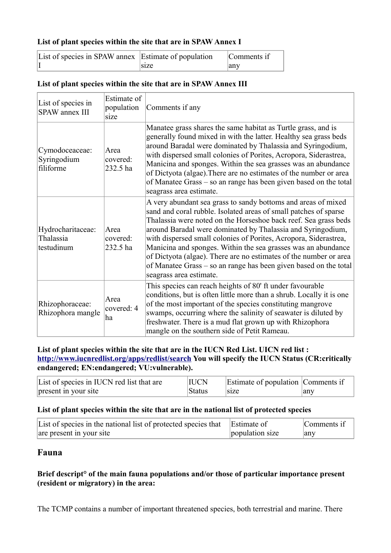#### **List of plant species within the site that are in SPAW Annex I**

| List of species in SPAW annex Estimate of population |      | Comments if |
|------------------------------------------------------|------|-------------|
|                                                      | size | any         |

| List of species in<br><b>SPAW</b> annex III  | Estimate of<br>population<br>size | Comments if any                                                                                                                                                                                                                                                                                                                                                                                                                                                                                                                                                              |
|----------------------------------------------|-----------------------------------|------------------------------------------------------------------------------------------------------------------------------------------------------------------------------------------------------------------------------------------------------------------------------------------------------------------------------------------------------------------------------------------------------------------------------------------------------------------------------------------------------------------------------------------------------------------------------|
| Cymodoceaceae:<br>Syringodium<br>filiforme   | Area<br>covered:<br>232.5 ha      | Manatee grass shares the same habitat as Turtle grass, and is<br>generally found mixed in with the latter. Healthy sea grass beds<br>around Baradal were dominated by Thalassia and Syringodium,<br>with dispersed small colonies of Porites, Acropora, Siderastrea,<br>Manicina and sponges. Within the sea grasses was an abundance<br>of Dictyota (algae). There are no estimates of the number or area<br>of Manatee Grass – so an range has been given based on the total<br>seagrass area estimate.                                                                    |
| Hydrocharitaceae:<br>Thalassia<br>testudinum | Area<br>covered:<br>232.5 ha      | A very abundant sea grass to sandy bottoms and areas of mixed<br>sand and coral rubble. Isolated areas of small patches of sparse<br>Thalassia were noted on the Horseshoe back reef. Sea grass beds<br>around Baradal were dominated by Thalassia and Syringodium,<br>with dispersed small colonies of Porites, Acropora, Siderastrea,<br>Manicina and sponges. Within the sea grasses was an abundance<br>of Dictyota (algae). There are no estimates of the number or area<br>of Manatee Grass – so an range has been given based on the total<br>seagrass area estimate. |
| Rhizophoraceae:<br>Rhizophora mangle         | Area<br>covered: 4<br>ha          | This species can reach heights of 80' ft under favourable<br>conditions, but is often little more than a shrub. Locally it is one<br>of the most important of the species constituting mangrove<br>swamps, occurring where the salinity of seawater is diluted by<br>freshwater. There is a mud flat grown up with Rhizophora<br>mangle on the southern side of Petit Rameau.                                                                                                                                                                                                |

#### **List of plant species within the site that are in SPAW Annex III**

#### **List of plant species within the site that are in the IUCN Red List. UICN red list : <http://www.iucnredlist.org/apps/redlist/search>You will specify the IUCN Status (CR:critically endangered; EN:endangered; VU:vulnerable).**

| List of species in IUCN red list that are | <b>IUCN</b>   | Estimate of population Comments if |     |
|-------------------------------------------|---------------|------------------------------------|-----|
| present in your site                      | <b>Status</b> | s <sub>1</sub> ze                  | any |

#### **List of plant species within the site that are in the national list of protected species**

| List of species in the national list of protected species that Estimate of |                 | Comments if |
|----------------------------------------------------------------------------|-----------------|-------------|
| are present in your site                                                   | population size | any         |

### **Fauna**

### **Brief descript° of the main fauna populations and/or those of particular importance present (resident or migratory) in the area:**

The TCMP contains a number of important threatened species, both terrestrial and marine. There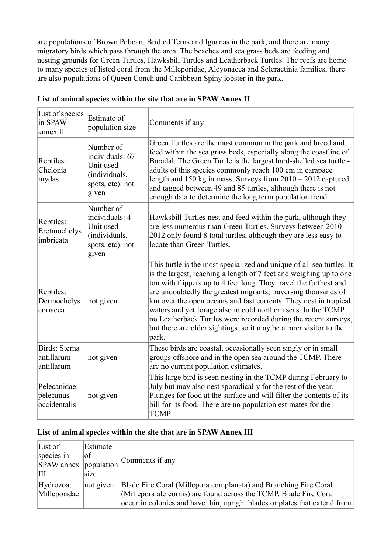are populations of Brown Pelican, Bridled Terns and Iguanas in the park, and there are many migratory birds which pass through the area. The beaches and sea grass beds are feeding and nesting grounds for Green Turtles, Hawksbill Turtles and Leatherback Turtles. The reefs are home to many species of listed coral from the Milleporidae, Alcyonacea and Scleractinia families, there are also populations of Queen Conch and Caribbean Spiny lobster in the park.

| List of species<br>in SPAW<br>annex II    | Estimate of<br>population size                                                            | Comments if any                                                                                                                                                                                                                                                                                                                                                                                                                                                                                                                                                           |
|-------------------------------------------|-------------------------------------------------------------------------------------------|---------------------------------------------------------------------------------------------------------------------------------------------------------------------------------------------------------------------------------------------------------------------------------------------------------------------------------------------------------------------------------------------------------------------------------------------------------------------------------------------------------------------------------------------------------------------------|
| Reptiles:<br>Chelonia<br>mydas            | Number of<br>individuals: 67 -<br>Unit used<br>(individuals,<br>spots, etc): not<br>given | Green Turtles are the most common in the park and breed and<br>feed within the sea grass beds, especially along the coastline of<br>Baradal. The Green Turtle is the largest hard-shelled sea turtle -<br>adults of this species commonly reach 100 cm in carapace<br>length and $150$ kg in mass. Surveys from $2010 - 2012$ captured<br>and tagged between 49 and 85 turtles, although there is not<br>enough data to determine the long term population trend.                                                                                                         |
| Reptiles:<br>Eretmochelys<br>imbricata    | Number of<br>individuals: 4 -<br>Unit used<br>(individuals,<br>spots, etc): not<br>given  | Hawksbill Turtles nest and feed within the park, although they<br>are less numerous than Green Turtles. Surveys between 2010-<br>2012 only found 8 total turtles, although they are less easy to<br>locate than Green Turtles.                                                                                                                                                                                                                                                                                                                                            |
| Reptiles:<br>Dermochelys<br>coriacea      | not given                                                                                 | This turtle is the most specialized and unique of all sea turtles. It<br>is the largest, reaching a length of 7 feet and weighing up to one<br>ton with flippers up to 4 feet long. They travel the furthest and<br>are undoubtedly the greatest migrants, traversing thousands of<br>km over the open oceans and fast currents. They nest in tropical<br>waters and yet forage also in cold northern seas. In the TCMP<br>no Leatherback Turtles were recorded during the recent surveys,<br>but there are older sightings, so it may be a rarer visitor to the<br>park. |
| Birds: Sterna<br>antillarum<br>antillarum | not given                                                                                 | These birds are coastal, occasionally seen singly or in small<br>groups offshore and in the open sea around the TCMP. There<br>are no current population estimates.                                                                                                                                                                                                                                                                                                                                                                                                       |
| Pelecanidae:<br>pelecanus<br>occidentalis | not given                                                                                 | This large bird is seen nesting in the TCMP during February to<br>July but may also nest sporadically for the rest of the year.<br>Plunges for food at the surface and will filter the contents of its<br>bill for its food. There are no population estimates for the<br><b>TCMP</b>                                                                                                                                                                                                                                                                                     |

#### **List of animal species within the site that are in SPAW Annex II**

#### **List of animal species within the site that are in SPAW Annex III**

| List of                   | Estimate  |                                                                                                                                                                                                                      |
|---------------------------|-----------|----------------------------------------------------------------------------------------------------------------------------------------------------------------------------------------------------------------------|
| species in                | οf        | Comments if any                                                                                                                                                                                                      |
| SPAW annex population     |           |                                                                                                                                                                                                                      |
| Ш                         | size      |                                                                                                                                                                                                                      |
| Hydrozoa:<br>Milleporidae | not given | Blade Fire Coral (Millepora complanata) and Branching Fire Coral<br>(Millepora alcicornis) are found across the TCMP. Blade Fire Coral<br>occur in colonies and have thin, upright blades or plates that extend from |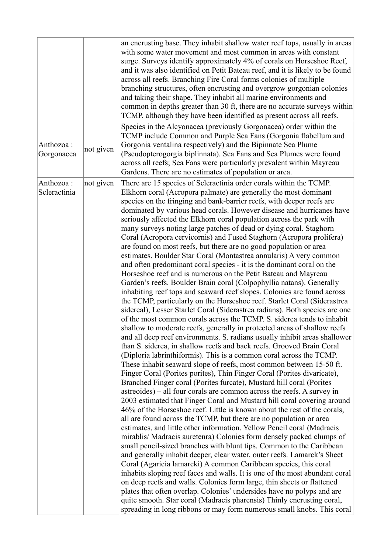|                            |           | an encrusting base. They inhabit shallow water reef tops, usually in areas<br>with some water movement and most common in areas with constant<br>surge. Surveys identify approximately 4% of corals on Horseshoe Reef,<br>and it was also identified on Petit Bateau reef, and it is likely to be found<br>across all reefs. Branching Fire Coral forms colonies of multiple<br>branching structures, often encrusting and overgrow gorgonian colonies<br>and taking their shape. They inhabit all marine environments and<br>common in depths greater than 30 ft, there are no accurate surveys within<br>TCMP, although they have been identified as present across all reefs.                                                                                                                                                                                                                                                                                                                                                                                                                                                                                                                                                                                                                                                                                                                                                                                                                                                                                                                                                                                                                                                                                                                                                                                                                                                                                                                                                                                                                                                                                                                                                                                                                                                                                                                                                                                                                                                                                                                                                                                                                                                                                                                        |
|----------------------------|-----------|---------------------------------------------------------------------------------------------------------------------------------------------------------------------------------------------------------------------------------------------------------------------------------------------------------------------------------------------------------------------------------------------------------------------------------------------------------------------------------------------------------------------------------------------------------------------------------------------------------------------------------------------------------------------------------------------------------------------------------------------------------------------------------------------------------------------------------------------------------------------------------------------------------------------------------------------------------------------------------------------------------------------------------------------------------------------------------------------------------------------------------------------------------------------------------------------------------------------------------------------------------------------------------------------------------------------------------------------------------------------------------------------------------------------------------------------------------------------------------------------------------------------------------------------------------------------------------------------------------------------------------------------------------------------------------------------------------------------------------------------------------------------------------------------------------------------------------------------------------------------------------------------------------------------------------------------------------------------------------------------------------------------------------------------------------------------------------------------------------------------------------------------------------------------------------------------------------------------------------------------------------------------------------------------------------------------------------------------------------------------------------------------------------------------------------------------------------------------------------------------------------------------------------------------------------------------------------------------------------------------------------------------------------------------------------------------------------------------------------------------------------------------------------------------------------|
| Anthozoa :<br>Gorgonacea   | not given | Species in the Alcyonacea (previously Gorgonacea) order within the<br>TCMP include Common and Purple Sea Fans (Gorgonia flabellum and<br>Gorgonia ventalina respectively) and the Bipinnate Sea Plume<br>(Pseudopterogorgia biplinnata). Sea Fans and Sea Plumes were found<br>across all reefs; Sea Fans were particularly prevalent within Mayreau<br>Gardens. There are no estimates of population or area.                                                                                                                                                                                                                                                                                                                                                                                                                                                                                                                                                                                                                                                                                                                                                                                                                                                                                                                                                                                                                                                                                                                                                                                                                                                                                                                                                                                                                                                                                                                                                                                                                                                                                                                                                                                                                                                                                                                                                                                                                                                                                                                                                                                                                                                                                                                                                                                          |
| Anthozoa :<br>Scleractinia | not given | There are 15 species of Scleractinia order corals within the TCMP.<br>Elkhorn coral (Acropora palmate) are generally the most dominant<br>species on the fringing and bank-barrier reefs, with deeper reefs are<br>dominated by various head corals. However disease and hurricanes have<br>seriously affected the Elkhorn coral population across the park with<br>many surveys noting large patches of dead or dying coral. Staghorn<br>Coral (Acropora cervicornis) and Fused Staghorn (Acropora prolifera)<br>are found on most reefs, but there are no good population or area<br>estimates. Boulder Star Coral (Montastrea annularis) A very common<br>and often predominant coral species - it is the dominant coral on the<br>Horseshoe reef and is numerous on the Petit Bateau and Mayreau<br>Garden's reefs. Boulder Brain coral (Colpophyllia natans). Generally<br>inhabiting reef tops and seaward reef slopes. Colonies are found across<br>the TCMP, particularly on the Horseshoe reef. Starlet Coral (Siderastrea<br>sidereal), Lesser Starlet Coral (Siderastrea radians). Both species are one<br>of the most common corals across the TCMP. S. siderea tends to inhabit<br>shallow to moderate reefs, generally in protected areas of shallow reefs<br>and all deep reef environments. S. radians usually inhibit areas shallower<br>than S. siderea, in shallow reefs and back reefs. Grooved Brain Coral<br>(Diploria labrinthiformis). This is a common coral across the TCMP.<br>These inhabit seaward slope of reefs, most common between 15-50 ft.<br>Finger Coral (Porites porites), Thin Finger Coral (Porites divaricate),<br>Branched Finger coral (Porites furcate), Mustard hill coral (Porites<br>astreoides) – all four corals are common across the reefs. A survey in<br>2003 estimated that Finger Coral and Mustard hill coral covering around<br>46% of the Horseshoe reef. Little is known about the rest of the corals,<br>all are found across the TCMP, but there are no population or area<br>estimates, and little other information. Yellow Pencil coral (Madracis<br>mirablis/ Madracis auretenra) Colonies form densely packed clumps of<br>small pencil-sized branches with blunt tips. Common to the Caribbean<br>and generally inhabit deeper, clear water, outer reefs. Lamarck's Sheet<br>Coral (Agaricia lamarcki) A common Caribbean species, this coral<br>inhabits sloping reef faces and walls. It is one of the most abundant coral<br>on deep reefs and walls. Colonies form large, thin sheets or flattened<br>plates that often overlap. Colonies' undersides have no polyps and are<br>quite smooth. Star coral (Madracis pharensis) Thinly encrusting coral,<br>spreading in long ribbons or may form numerous small knobs. This coral |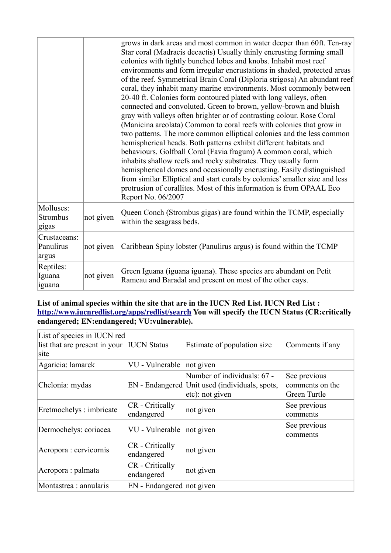|                                    |           | grows in dark areas and most common in water deeper than 60ft. Ten-ray<br>Star coral (Madracis decactis) Usually thinly encrusting forming small<br>colonies with tightly bunched lobes and knobs. Inhabit most reef<br>environments and form irregular encrustations in shaded, protected areas<br>of the reef. Symmetrical Brain Coral (Diploria strigosa) An abundant reef<br>coral, they inhabit many marine environments. Most commonly between<br>20-40 ft. Colonies form contoured plated with long valleys, often<br>connected and convoluted. Green to brown, yellow-brown and bluish<br>gray with valleys often brighter or of contrasting colour. Rose Coral<br>(Manicina areolata) Common to coral reefs with colonies that grow in<br>two patterns. The more common elliptical colonies and the less common<br>hemispherical heads. Both patterns exhibit different habitats and<br>behaviours. Golfball Coral (Favia fragum) A common coral, which<br>inhabits shallow reefs and rocky substrates. They usually form<br>hemispherical domes and occasionally encrusting. Easily distinguished<br>from similar Elliptical and start corals by colonies' smaller size and less<br>protrusion of corallites. Most of this information is from OPAAL Eco<br>Report No. 06/2007 |
|------------------------------------|-----------|------------------------------------------------------------------------------------------------------------------------------------------------------------------------------------------------------------------------------------------------------------------------------------------------------------------------------------------------------------------------------------------------------------------------------------------------------------------------------------------------------------------------------------------------------------------------------------------------------------------------------------------------------------------------------------------------------------------------------------------------------------------------------------------------------------------------------------------------------------------------------------------------------------------------------------------------------------------------------------------------------------------------------------------------------------------------------------------------------------------------------------------------------------------------------------------------------------------------------------------------------------------------------------------|
| Molluscs:<br>Strombus<br>gigas     | not given | Queen Conch (Strombus gigas) are found within the TCMP, especially<br>within the seagrass beds.                                                                                                                                                                                                                                                                                                                                                                                                                                                                                                                                                                                                                                                                                                                                                                                                                                                                                                                                                                                                                                                                                                                                                                                          |
| Crustaceans:<br>Panulirus<br>argus | not given | Caribbean Spiny lobster (Panulirus argus) is found within the TCMP                                                                                                                                                                                                                                                                                                                                                                                                                                                                                                                                                                                                                                                                                                                                                                                                                                                                                                                                                                                                                                                                                                                                                                                                                       |
| Reptiles:<br>Iguana<br>iguana      | not given | Green Iguana (iguana iguana). These species are abundant on Petit<br>Rameau and Baradal and present on most of the other cays.                                                                                                                                                                                                                                                                                                                                                                                                                                                                                                                                                                                                                                                                                                                                                                                                                                                                                                                                                                                                                                                                                                                                                           |

#### **List of animal species within the site that are in the IUCN Red List. IUCN Red List : <http://www.iucnredlist.org/apps/redlist/search>You will specify the IUCN Status (CR:critically endangered; EN:endangered; VU:vulnerable).**

| List of species in IUCN red<br>list that are present in your<br>site | <b>IUCN Status</b>            | Estimate of population size                                                                      | Comments if any                                 |
|----------------------------------------------------------------------|-------------------------------|--------------------------------------------------------------------------------------------------|-------------------------------------------------|
| Agaricia: lamarck                                                    | VU - Vulnerable               | not given                                                                                        |                                                 |
| Chelonia: mydas                                                      |                               | Number of individuals: 67 -<br>EN - Endangered Unit used (individuals, spots,<br>etc): not given | See previous<br>comments on the<br>Green Turtle |
| Eretmochelys: imbricate                                              | CR - Critically<br>endangered | not given                                                                                        | See previous<br>comments                        |
| Dermochelys: coriacea                                                | VU - Vulnerable               | not given                                                                                        | See previous<br>comments                        |
| Acropora : cervicornis                                               | CR - Critically<br>endangered | not given                                                                                        |                                                 |
| Acropora : palmata                                                   | CR - Critically<br>endangered | not given                                                                                        |                                                 |
| Montastrea : annularis                                               | EN - Endangered not given     |                                                                                                  |                                                 |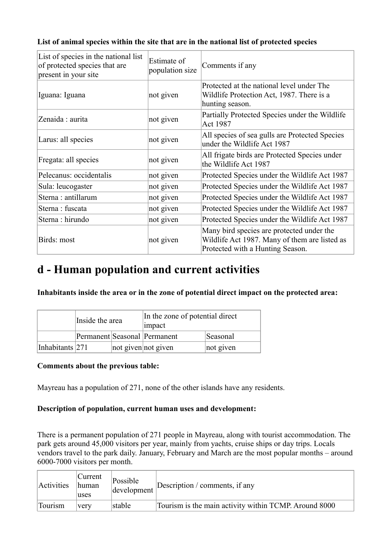| List of species in the national list<br>of protected species that are<br>present in your site | Estimate of<br>population size | Comments if any                                                                                                                |
|-----------------------------------------------------------------------------------------------|--------------------------------|--------------------------------------------------------------------------------------------------------------------------------|
| Iguana: Iguana                                                                                | not given                      | Protected at the national level under The<br>Wildlife Protection Act, 1987. There is a<br>hunting season.                      |
| Zenaida: aurita                                                                               | not given                      | Partially Protected Species under the Wildlife<br>Act 1987                                                                     |
| Larus: all species                                                                            | not given                      | All species of sea gulls are Protected Species<br>under the Wildlife Act 1987                                                  |
| Fregata: all species                                                                          | not given                      | All frigate birds are Protected Species under<br>the Wildlife Act 1987                                                         |
| Pelecanus: occidentalis                                                                       | not given                      | Protected Species under the Wildlife Act 1987                                                                                  |
| Sula: leucogaster                                                                             | not given                      | Protected Species under the Wildlife Act 1987                                                                                  |
| Sterna: antillarum                                                                            | not given                      | Protected Species under the Wildlife Act 1987                                                                                  |
| Sterna: fuscata                                                                               | not given                      | Protected Species under the Wildlife Act 1987                                                                                  |
| Sterna: hirundo                                                                               | not given                      | Protected Species under the Wildlife Act 1987                                                                                  |
| Birds: most                                                                                   | not given                      | Many bird species are protected under the<br>Wildlife Act 1987. Many of them are listed as<br>Protected with a Hunting Season. |

### **List of animal species within the site that are in the national list of protected species**

### **d - Human population and current activities**

**Inhabitants inside the area or in the zone of potential direct impact on the protected area:** 

|                 | Inside the area |  | In the zone of potential direct<br>impact |           |  |
|-----------------|-----------------|--|-------------------------------------------|-----------|--|
|                 |                 |  | Permanent Seasonal Permanent              | Seasonal  |  |
| Inhabitants 271 |                 |  | not given not given                       | not given |  |

#### **Comments about the previous table:**

Mayreau has a population of 271, none of the other islands have any residents.

#### **Description of population, current human uses and development:**

There is a permanent population of 271 people in Mayreau, along with tourist accommodation. The park gets around 45,000 visitors per year, mainly from yachts, cruise ships or day trips. Locals vendors travel to the park daily. January, February and March are the most popular months – around 6000-7000 visitors per month.

| <b>Activities</b> | Current<br>human<br>uses | Possible<br>development | Description / comments, if any                        |
|-------------------|--------------------------|-------------------------|-------------------------------------------------------|
| Tourism           | very                     | stable                  | Tourism is the main activity within TCMP. Around 8000 |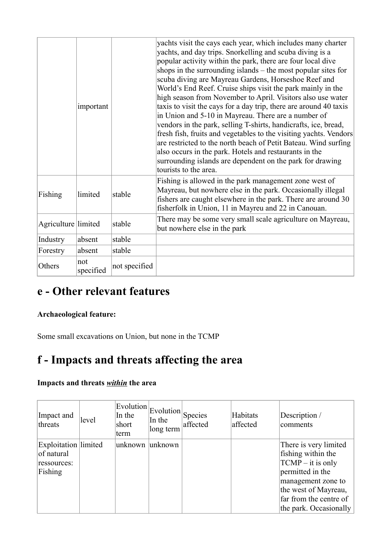|                     | important        |               | yachts visit the cays each year, which includes many charter<br>yachts, and day trips. Snorkelling and scuba diving is a<br>popular activity within the park, there are four local dive<br>shops in the surrounding islands - the most popular sites for<br>scuba diving are Mayreau Gardens, Horseshoe Reef and<br>World's End Reef. Cruise ships visit the park mainly in the<br>high season from November to April. Visitors also use water<br>taxis to visit the cays for a day trip, there are around 40 taxis<br>in Union and 5-10 in Mayreau. There are a number of<br>vendors in the park, selling T-shirts, handicrafts, ice, bread,<br>fresh fish, fruits and vegetables to the visiting yachts. Vendors<br>are restricted to the north beach of Petit Bateau. Wind surfing<br>also occurs in the park. Hotels and restaurants in the<br>surrounding islands are dependent on the park for drawing<br>tourists to the area. |
|---------------------|------------------|---------------|---------------------------------------------------------------------------------------------------------------------------------------------------------------------------------------------------------------------------------------------------------------------------------------------------------------------------------------------------------------------------------------------------------------------------------------------------------------------------------------------------------------------------------------------------------------------------------------------------------------------------------------------------------------------------------------------------------------------------------------------------------------------------------------------------------------------------------------------------------------------------------------------------------------------------------------|
| Fishing             | limited          | stable        | Fishing is allowed in the park management zone west of<br>Mayreau, but nowhere else in the park. Occasionally illegal<br>fishers are caught elsewhere in the park. There are around 30<br>fisherfolk in Union, 11 in Mayreu and 22 in Canouan.                                                                                                                                                                                                                                                                                                                                                                                                                                                                                                                                                                                                                                                                                        |
| Agriculture limited |                  | stable        | There may be some very small scale agriculture on Mayreau,<br>but nowhere else in the park                                                                                                                                                                                                                                                                                                                                                                                                                                                                                                                                                                                                                                                                                                                                                                                                                                            |
| Industry            | absent           | stable        |                                                                                                                                                                                                                                                                                                                                                                                                                                                                                                                                                                                                                                                                                                                                                                                                                                                                                                                                       |
| Forestry            | absent           | stable        |                                                                                                                                                                                                                                                                                                                                                                                                                                                                                                                                                                                                                                                                                                                                                                                                                                                                                                                                       |
| Others              | not<br>specified | not specified |                                                                                                                                                                                                                                                                                                                                                                                                                                                                                                                                                                                                                                                                                                                                                                                                                                                                                                                                       |

### **e - Other relevant features**

### **Archaeological feature:**

Some small excavations on Union, but none in the TCMP

### **f - Impacts and threats affecting the area**

### **Impacts and threats** *within* **the area**

| Impact and<br>threats                                               | level | Evolution<br>In the<br>short<br>term | Evolution Species<br>In the<br>long term | affected | Habitats<br>affected | Description /<br>comments                                                                                                                                                                |
|---------------------------------------------------------------------|-------|--------------------------------------|------------------------------------------|----------|----------------------|------------------------------------------------------------------------------------------------------------------------------------------------------------------------------------------|
| <b>Exploitation</b> limited<br>of natural<br>ressources:<br>Fishing |       | unknown                              | unknown                                  |          |                      | There is very limited<br>fishing within the<br>$TCMP - it$ is only<br>permitted in the<br>management zone to<br>the west of Mayreau,<br>far from the centre of<br>the park. Occasionally |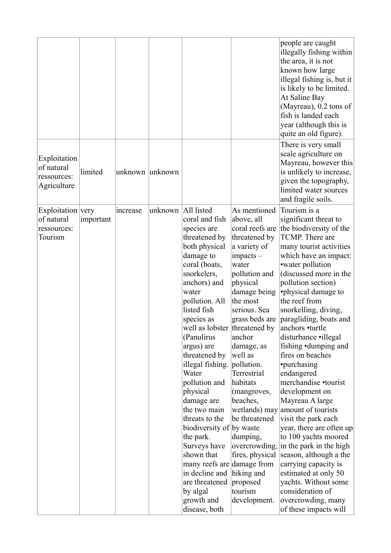|                                                           |           |                 |                      |                                                                                                                                                                                                                                                                                                                                                                                                                                                                                                                                                                  |                                                                                                                                                                                                                                                                                                                                                                                          | people are caught<br>illegally fishing within<br>the area, it is not<br>known how large<br>illegal fishing is, but it<br>is likely to be limited.<br>At Saline Bay<br>(Mayreau), 0.2 tons of<br>fish is landed each<br>year (although this is<br>quite an old figure).                                                                                                                                                                                                                                                                                                                                                                                                                                                                                                                                                                |
|-----------------------------------------------------------|-----------|-----------------|----------------------|------------------------------------------------------------------------------------------------------------------------------------------------------------------------------------------------------------------------------------------------------------------------------------------------------------------------------------------------------------------------------------------------------------------------------------------------------------------------------------------------------------------------------------------------------------------|------------------------------------------------------------------------------------------------------------------------------------------------------------------------------------------------------------------------------------------------------------------------------------------------------------------------------------------------------------------------------------------|---------------------------------------------------------------------------------------------------------------------------------------------------------------------------------------------------------------------------------------------------------------------------------------------------------------------------------------------------------------------------------------------------------------------------------------------------------------------------------------------------------------------------------------------------------------------------------------------------------------------------------------------------------------------------------------------------------------------------------------------------------------------------------------------------------------------------------------|
| Exploitation<br>of natural<br>ressources:<br>Agriculture  | limited   | unknown unknown |                      |                                                                                                                                                                                                                                                                                                                                                                                                                                                                                                                                                                  |                                                                                                                                                                                                                                                                                                                                                                                          | There is very small<br>scale agriculture on<br>Mayreau, however this<br>is unlikely to increase,<br>given the topography,<br>limited water sources<br>and fragile soils.                                                                                                                                                                                                                                                                                                                                                                                                                                                                                                                                                                                                                                                              |
| Exploitation very<br>of natural<br>ressources:<br>Tourism | important | increase        | unknown   All listed | coral and fish<br>species are<br>threatened by<br>both physical<br>damage to<br>coral (boats,<br>snorkelers,<br>anchors) and<br>water<br>pollution. All<br>listed fish<br>species as<br>well as lobster threatened by<br>(Panulirus<br>argus) are<br>threatened by<br>illegal fishing.<br>Water<br>pollution and<br>physical<br>damage are<br>the two main<br>threats to the<br>biodiversity of by waste<br>the park.<br>Surveys have<br>shown that<br>many reefs are damage from<br>in decline and<br>are threatened<br>by algal<br>growth and<br>disease, both | As mentioned<br>above, all<br>coral reefs are<br>threatened by<br>a variety of<br>impacts –<br>water<br>pollution and<br>physical<br>damage being<br>the most<br>serious. Sea<br>grass beds are<br>anchor<br>damage, as<br>well as<br>pollution.<br>Terrestrial<br>habitats<br>(mangroves,<br>beaches,<br>be threatened<br>dumping,<br>hiking and<br>proposed<br>tourism<br>development. | Tourism is a<br>significant threat to<br>the biodiversity of the<br>TCMP. There are<br>many tourist activities<br>which have an impact:<br>• water pollution<br>(discussed more in the<br>pollution section)<br>•physical damage to<br>the reef from<br>snorkelling, diving,<br>paragliding, boats and<br>anchors •turtle<br>disturbance • illegal<br>fishing •dumping and<br>fires on beaches<br>•purchasing<br>endangered<br>merchandise •tourist<br>development on<br>Mayreau A large<br>wetlands) may amount of tourists<br>visit the park each<br>year, there are often up<br>to 100 yachts moored<br>overcrowding, in the park in the high<br>fires, physical season, although a the<br>carrying capacity is<br>estimated at only 50<br>yachts. Without some<br>consideration of<br>overcrowding, many<br>of these impacts will |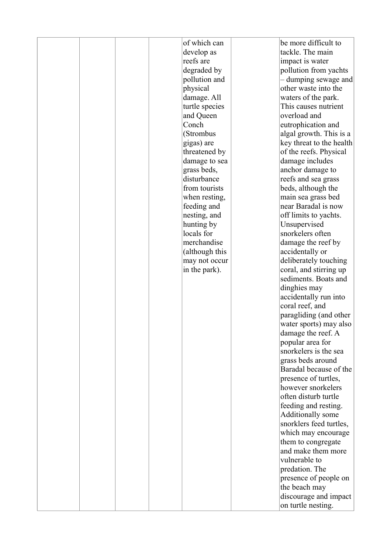|  |  | of which can   | be more difficult to     |
|--|--|----------------|--------------------------|
|  |  | develop as     | tackle. The main         |
|  |  | reefs are      | impact is water          |
|  |  | degraded by    | pollution from yachts    |
|  |  |                |                          |
|  |  | pollution and  | - dumping sewage and     |
|  |  | physical       | other waste into the     |
|  |  | damage. All    | waters of the park.      |
|  |  | turtle species | This causes nutrient     |
|  |  | and Queen      | overload and             |
|  |  | Conch          | eutrophication and       |
|  |  | (Strombus      | algal growth. This is a  |
|  |  | gigas) are     | key threat to the health |
|  |  | threatened by  | of the reefs. Physical   |
|  |  | damage to sea  | damage includes          |
|  |  | grass beds,    | anchor damage to         |
|  |  | disturbance    | reefs and sea grass      |
|  |  | from tourists  | beds, although the       |
|  |  | when resting,  | main sea grass bed       |
|  |  | feeding and    | near Baradal is now      |
|  |  | nesting, and   | off limits to yachts.    |
|  |  | hunting by     | Unsupervised             |
|  |  | locals for     | snorkelers often         |
|  |  | merchandise    | damage the reef by       |
|  |  | (although this | accidentally or          |
|  |  | may not occur  | deliberately touching    |
|  |  | in the park).  | coral, and stirring up   |
|  |  |                | sediments. Boats and     |
|  |  |                | dinghies may             |
|  |  |                | accidentally run into    |
|  |  |                | coral reef, and          |
|  |  |                | paragliding (and other   |
|  |  |                | water sports) may also   |
|  |  |                | damage the reef. A       |
|  |  |                | popular area for         |
|  |  |                | snorkelers is the sea    |
|  |  |                | grass beds around        |
|  |  |                | Baradal because of the   |
|  |  |                | presence of turtles,     |
|  |  |                | however snorkelers       |
|  |  |                | often disturb turtle     |
|  |  |                | feeding and resting.     |
|  |  |                | Additionally some        |
|  |  |                | snorklers feed turtles,  |
|  |  |                | which may encourage      |
|  |  |                | them to congregate       |
|  |  |                | and make them more       |
|  |  |                | vulnerable to            |
|  |  |                | predation. The           |
|  |  |                | presence of people on    |
|  |  |                | the beach may            |
|  |  |                | discourage and impact    |
|  |  |                | on turtle nesting.       |
|  |  |                |                          |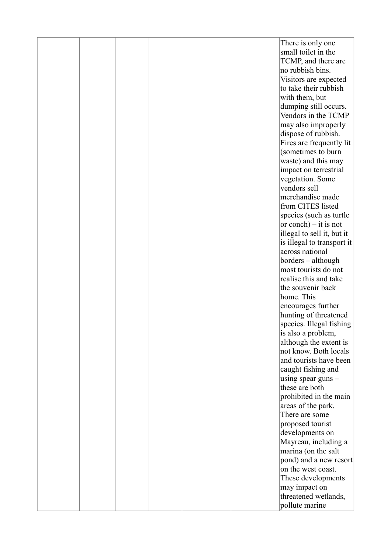|  |  |  | There is only one<br>small toilet in the    |
|--|--|--|---------------------------------------------|
|  |  |  | TCMP, and there are                         |
|  |  |  | no rubbish bins.                            |
|  |  |  | Visitors are expected                       |
|  |  |  | to take their rubbish                       |
|  |  |  | with them, but                              |
|  |  |  | dumping still occurs.                       |
|  |  |  | Vendors in the TCMP                         |
|  |  |  | may also improperly                         |
|  |  |  | dispose of rubbish.                         |
|  |  |  | Fires are frequently lit                    |
|  |  |  | (sometimes to burn                          |
|  |  |  | waste) and this may                         |
|  |  |  | impact on terrestrial                       |
|  |  |  | vegetation. Some                            |
|  |  |  | vendors sell                                |
|  |  |  | merchandise made                            |
|  |  |  | from CITES listed                           |
|  |  |  | species (such as turtle                     |
|  |  |  | or conch) $-$ it is not                     |
|  |  |  | illegal to sell it, but it                  |
|  |  |  | is illegal to transport it                  |
|  |  |  | across national                             |
|  |  |  | borders – although                          |
|  |  |  | most tourists do not                        |
|  |  |  | realise this and take                       |
|  |  |  | the souvenir back                           |
|  |  |  | home. This                                  |
|  |  |  | encourages further                          |
|  |  |  | hunting of threatened                       |
|  |  |  | species. Illegal fishing                    |
|  |  |  | is also a problem,                          |
|  |  |  | although the extent is                      |
|  |  |  | not know. Both locals                       |
|  |  |  | and tourists have been                      |
|  |  |  | caught fishing and                          |
|  |  |  | using spear guns $-$                        |
|  |  |  | these are both                              |
|  |  |  | prohibited in the main                      |
|  |  |  | areas of the park.                          |
|  |  |  | There are some                              |
|  |  |  | proposed tourist                            |
|  |  |  | developments on                             |
|  |  |  | Mayreau, including a<br>marina (on the salt |
|  |  |  | pond) and a new resort                      |
|  |  |  | on the west coast.                          |
|  |  |  | These developments                          |
|  |  |  | may impact on                               |
|  |  |  | threatened wetlands,                        |
|  |  |  | pollute marine                              |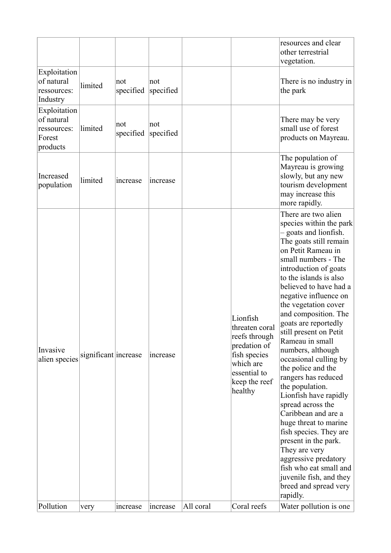|                                                                 |                              |                  |                      |           |                                                                                                                                                     | resources and clear<br>other terrestrial<br>vegetation.                                                                                                                                                                                                                                                                                                                                                                                                                                                                                                                                                                                                                                                                                                                                              |
|-----------------------------------------------------------------|------------------------------|------------------|----------------------|-----------|-----------------------------------------------------------------------------------------------------------------------------------------------------|------------------------------------------------------------------------------------------------------------------------------------------------------------------------------------------------------------------------------------------------------------------------------------------------------------------------------------------------------------------------------------------------------------------------------------------------------------------------------------------------------------------------------------------------------------------------------------------------------------------------------------------------------------------------------------------------------------------------------------------------------------------------------------------------------|
| Exploitation<br>of natural<br>ressources:<br>Industry           | limited                      | not<br>specified | not<br>specified     |           |                                                                                                                                                     | There is no industry in<br>the park                                                                                                                                                                                                                                                                                                                                                                                                                                                                                                                                                                                                                                                                                                                                                                  |
| Exploitation<br>of natural<br>ressources:<br>Forest<br>products | limited                      | not<br>specified | not<br>specified     |           |                                                                                                                                                     | There may be very<br>small use of forest<br>products on Mayreau.                                                                                                                                                                                                                                                                                                                                                                                                                                                                                                                                                                                                                                                                                                                                     |
| Increased<br>population                                         | limited                      | increase         | increase             |           |                                                                                                                                                     | The population of<br>Mayreau is growing<br>slowly, but any new<br>tourism development<br>may increase this<br>more rapidly.                                                                                                                                                                                                                                                                                                                                                                                                                                                                                                                                                                                                                                                                          |
| Invasive<br>alien species<br>Pollution                          | significant increase<br>very | increase         | increase<br>increase | All coral | Lionfish<br>threaten coral<br>reefs through<br>predation of<br>fish species<br>which are<br>essential to<br>keep the reef<br>healthy<br>Coral reefs | There are two alien<br>species within the park<br>- goats and lionfish.<br>The goats still remain<br>on Petit Rameau in<br>small numbers - The<br>introduction of goats<br>to the islands is also<br>believed to have had a<br>negative influence on<br>the vegetation cover<br>and composition. The<br>goats are reportedly<br>still present on Petit<br>Rameau in small<br>numbers, although<br>occasional culling by<br>the police and the<br>rangers has reduced<br>the population.<br>Lionfish have rapidly<br>spread across the<br>Caribbean and are a<br>huge threat to marine<br>fish species. They are<br>present in the park.<br>They are very<br>aggressive predatory<br>fish who eat small and<br>juvenile fish, and they<br>breed and spread very<br>rapidly.<br>Water pollution is one |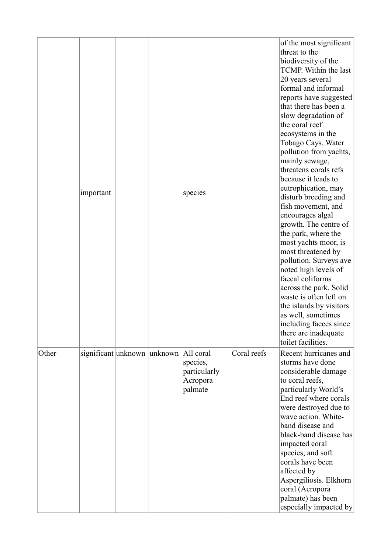|       | important                             |  | species                                         |             | of the most significant<br>threat to the<br>biodiversity of the<br>TCMP. Within the last<br>20 years several<br>formal and informal<br>reports have suggested<br>that there has been a<br>slow degradation of<br>the coral reef<br>ecosystems in the<br>Tobago Cays. Water<br>pollution from yachts,<br>mainly sewage,<br>threatens corals refs<br>because it leads to<br>eutrophication, may<br>disturb breeding and<br>fish movement, and<br>encourages algal<br>growth. The centre of<br>the park, where the<br>most yachts moor, is<br>most threatened by<br>pollution. Surveys ave<br>noted high levels of<br>faecal coliforms<br>across the park. Solid<br>waste is often left on<br>the islands by visitors<br>as well, sometimes<br>including faeces since<br>there are inadequate<br>toilet facilities. |
|-------|---------------------------------------|--|-------------------------------------------------|-------------|------------------------------------------------------------------------------------------------------------------------------------------------------------------------------------------------------------------------------------------------------------------------------------------------------------------------------------------------------------------------------------------------------------------------------------------------------------------------------------------------------------------------------------------------------------------------------------------------------------------------------------------------------------------------------------------------------------------------------------------------------------------------------------------------------------------|
| Other | significant unknown unknown All coral |  | species,<br>particularly<br>Acropora<br>palmate | Coral reefs | Recent hurricanes and<br>storms have done<br>considerable damage<br>to coral reefs,<br>particularly World's<br>End reef where corals<br>were destroyed due to<br>wave action. White-<br>band disease and<br>black-band disease has<br>impacted coral<br>species, and soft<br>corals have been<br>affected by<br>Aspergiliosis. Elkhorn<br>coral (Acropora<br>palmate) has been<br>especially impacted by                                                                                                                                                                                                                                                                                                                                                                                                         |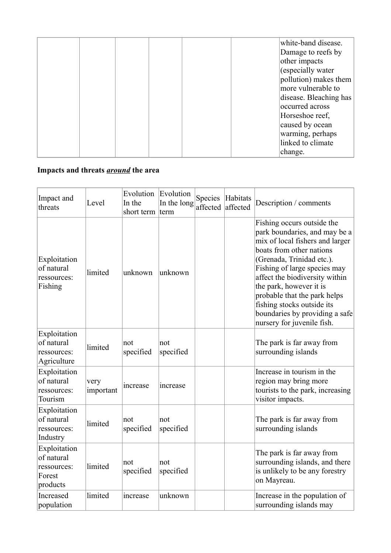|  |  |  | white-band disease.    |
|--|--|--|------------------------|
|  |  |  | Damage to reefs by     |
|  |  |  | other impacts          |
|  |  |  | (especially water      |
|  |  |  | pollution) makes them  |
|  |  |  | more vulnerable to     |
|  |  |  | disease. Bleaching has |
|  |  |  | occurred across        |
|  |  |  | Horseshoe reef,        |
|  |  |  | caused by ocean        |
|  |  |  | warming, perhaps       |
|  |  |  | linked to climate      |
|  |  |  | change.                |

### **Impacts and threats** *around* **the area**

| Impact and<br>threats                                           | Level             | Evolution<br>In the<br>short term | Evolution<br>In the long<br>term | Species<br>affected | Habitats<br>affected | Description / comments                                                                                                                                                                                                                                                                                                                                                             |
|-----------------------------------------------------------------|-------------------|-----------------------------------|----------------------------------|---------------------|----------------------|------------------------------------------------------------------------------------------------------------------------------------------------------------------------------------------------------------------------------------------------------------------------------------------------------------------------------------------------------------------------------------|
| Exploitation<br>of natural<br>ressources:<br>Fishing            | limited           | unknown                           | unknown                          |                     |                      | Fishing occurs outside the<br>park boundaries, and may be a<br>mix of local fishers and larger<br>boats from other nations<br>(Grenada, Trinidad etc.).<br>Fishing of large species may<br>affect the biodiversity within<br>the park, however it is<br>probable that the park helps<br>fishing stocks outside its<br>boundaries by providing a safe<br>nursery for juvenile fish. |
| Exploitation<br>of natural<br>ressources:<br>Agriculture        | limited           | not<br>specified                  | not<br>specified                 |                     |                      | The park is far away from<br>surrounding islands                                                                                                                                                                                                                                                                                                                                   |
| Exploitation<br>of natural<br>ressources:<br>Tourism            | very<br>important | increase                          | increase                         |                     |                      | Increase in tourism in the<br>region may bring more<br>tourists to the park, increasing<br>visitor impacts.                                                                                                                                                                                                                                                                        |
| Exploitation<br>of natural<br>ressources:<br>Industry           | limited           | not<br>specified                  | not<br>specified                 |                     |                      | The park is far away from<br>surrounding islands                                                                                                                                                                                                                                                                                                                                   |
| Exploitation<br>of natural<br>ressources:<br>Forest<br>products | limited           | not<br>specified                  | not<br>specified                 |                     |                      | The park is far away from<br>surrounding islands, and there<br>is unlikely to be any forestry<br>on Mayreau.                                                                                                                                                                                                                                                                       |
| Increased<br>population                                         | limited           | increase                          | unknown                          |                     |                      | Increase in the population of<br>surrounding islands may                                                                                                                                                                                                                                                                                                                           |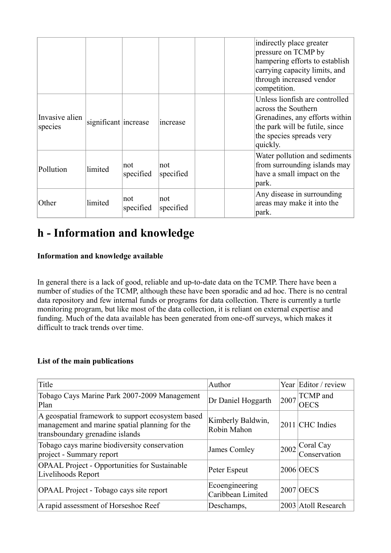|                           |                      |                  |                  | indirectly place greater<br>pressure on TCMP by<br>hampering efforts to establish<br>carrying capacity limits, and<br>through increased vendor<br>competition.    |
|---------------------------|----------------------|------------------|------------------|-------------------------------------------------------------------------------------------------------------------------------------------------------------------|
| Invasive alien<br>species | significant increase |                  | increase         | Unless lionfish are controlled<br>across the Southern<br>Grenadines, any efforts within<br>the park will be futile, since<br>the species spreads very<br>quickly. |
| Pollution                 | limited              | not<br>specified | not<br>specified | Water pollution and sediments<br>from surrounding islands may<br>have a small impact on the<br>park.                                                              |
| Other                     | limited              | not<br>specified | not<br>specified | Any disease in surrounding<br>areas may make it into the<br>park.                                                                                                 |

## **h - Information and knowledge**

### **Information and knowledge available**

In general there is a lack of good, reliable and up-to-date data on the TCMP. There have been a number of studies of the TCMP, although these have been sporadic and ad hoc. There is no central data repository and few internal funds or programs for data collection. There is currently a turtle monitoring program, but like most of the data collection, it is reliant on external expertise and funding. Much of the data available has been generated from one-off surveys, which makes it difficult to track trends over time.

#### **List of the main publications**

| Title                                                                                                                                  | Author                              |      | Year Editor / review             |
|----------------------------------------------------------------------------------------------------------------------------------------|-------------------------------------|------|----------------------------------|
| Tobago Cays Marine Park 2007-2009 Management<br>Plan                                                                                   | Dr Daniel Hoggarth                  | 2007 | TCMP and<br><b>OECS</b>          |
| A geospatial framework to support ecosystem based<br>management and marine spatial planning for the<br>transboundary grenadine islands | Kimberly Baldwin,<br>Robin Mahon    |      | 2011 CHC Indies                  |
| Tobago cays marine biodiversity conservation<br>project - Summary report                                                               | James Comley                        |      | $2002$ Coral Cay<br>Conservation |
| <b>OPAAL</b> Project - Opportunities for Sustainable<br>Livelihoods Report                                                             | Peter Espeut                        |      | 2006 OECS                        |
| OPAAL Project - Tobago cays site report                                                                                                | Ecoengineering<br>Caribbean Limited |      | <b>2007 OECS</b>                 |
| A rapid assessment of Horseshoe Reef                                                                                                   | Deschamps,                          |      | 2003 Atoll Research              |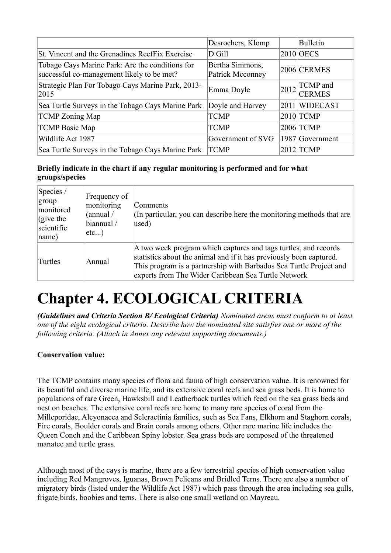|                                                                                               | Desrochers, Klomp                   |      | <b>Bulletin</b>                  |
|-----------------------------------------------------------------------------------------------|-------------------------------------|------|----------------------------------|
| St. Vincent and the Grenadines ReefFix Exercise                                               | D Gill                              |      | $2010$ OECS                      |
| Tobago Cays Marine Park: Are the conditions for<br>successful co-management likely to be met? | Bertha Simmons,<br>Patrick Mcconney |      | 2006 CERMES                      |
| Strategic Plan For Tobago Cays Marine Park, 2013-<br>2015                                     | Emma Doyle                          | 2012 | <b>TCMP</b> and<br><b>CERMES</b> |
| Sea Turtle Surveys in the Tobago Cays Marine Park                                             | Doyle and Harvey                    |      | 2011 WIDECAST                    |
| <b>TCMP</b> Zoning Map                                                                        | <b>TCMP</b>                         |      | $2010$ TCMP                      |
| <b>TCMP Basic Map</b>                                                                         | <b>TCMP</b>                         |      | 2006 TCMP                        |
| Wildlife Act 1987                                                                             | Government of SVG                   |      | 1987 Government                  |
| Sea Turtle Surveys in the Tobago Cays Marine Park                                             | <b>TCMP</b>                         |      | $2012$ TCMP                      |

### **Briefly indicate in the chart if any regular monitoring is performed and for what groups/species**

| Species /<br>group<br>monitored<br>$\int$ (give the<br>scientific<br> name) | Frequency of<br>monitoring<br>(annual /<br>biannual /<br>$etc$ ) | Comments<br>(In particular, you can describe here the monitoring methods that are<br>used)                                                                                                                                                                          |
|-----------------------------------------------------------------------------|------------------------------------------------------------------|---------------------------------------------------------------------------------------------------------------------------------------------------------------------------------------------------------------------------------------------------------------------|
| Turtles                                                                     | Annual                                                           | A two week program which captures and tags turtles, and records<br>statistics about the animal and if it has previously been captured.<br>This program is a partnership with Barbados Sea Turtle Project and<br>experts from The Wider Caribbean Sea Turtle Network |

# **Chapter 4. ECOLOGICAL CRITERIA**

*(Guidelines and Criteria Section B/ Ecological Criteria) Nominated areas must conform to at least one of the eight ecological criteria. Describe how the nominated site satisfies one or more of the following criteria. (Attach in Annex any relevant supporting documents.)*

### **Conservation value:**

The TCMP contains many species of flora and fauna of high conservation value. It is renowned for its beautiful and diverse marine life, and its extensive coral reefs and sea grass beds. It is home to populations of rare Green, Hawksbill and Leatherback turtles which feed on the sea grass beds and nest on beaches. The extensive coral reefs are home to many rare species of coral from the Milleporidae, Alcyonacea and Scleractinia families, such as Sea Fans, Elkhorn and Staghorn corals, Fire corals, Boulder corals and Brain corals among others. Other rare marine life includes the Queen Conch and the Caribbean Spiny lobster. Sea grass beds are composed of the threatened manatee and turtle grass.

Although most of the cays is marine, there are a few terrestrial species of high conservation value including Red Mangroves, Iguanas, Brown Pelicans and Bridled Terns. There are also a number of migratory birds (listed under the Wildlife Act 1987) which pass through the area including sea gulls, frigate birds, boobies and terns. There is also one small wetland on Mayreau.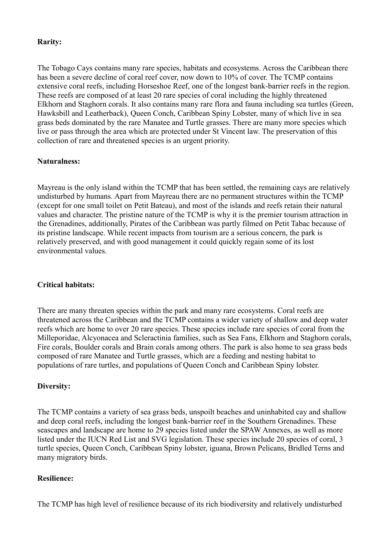#### **Rarity:**

The Tobago Cays contains many rare species, habitats and ecosystems. Across the Caribbean there has been a severe decline of coral reef cover, now down to 10% of cover. The TCMP contains extensive coral reefs, including Horseshoe Reef, one of the longest bank-barrier reefs in the region. These reefs are composed of at least 20 rare species of coral including the highly threatened Elkhorn and Staghorn corals. It also contains many rare flora and fauna including sea turtles (Green, Hawksbill and Leatherback), Queen Conch, Caribbean Spiny Lobster, many of which live in sea grass beds dominated by the rare Manatee and Turtle grasses. There are many more species which live or pass through the area which are protected under St Vincent law. The preservation of this collection of rare and threatened species is an urgent priority.

#### **Naturalness:**

Mayreau is the only island within the TCMP that has been settled, the remaining cays are relatively undisturbed by humans. Apart from Mayreau there are no permanent structures within the TCMP (except for one small toilet on Petit Bateau), and most of the islands and reefs retain their natural values and character. The pristine nature of the TCMP is why it is the premier tourism attraction in the Grenadines, additionally, Pirates of the Caribbean was partly filmed on Petit Tabac because of its pristine landscape. While recent impacts from tourism are a serious concern, the park is relatively preserved, and with good management it could quickly regain some of its lost environmental values.

#### **Critical habitats:**

There are many threaten species within the park and many rare ecosystems. Coral reefs are threatened across the Caribbean and the TCMP contains a wider variety of shallow and deep water reefs which are home to over 20 rare species. These species include rare species of coral from the Milleporidae, Alcyonacea and Scleractinia families, such as Sea Fans, Elkhorn and Staghorn corals, Fire corals, Boulder corals and Brain corals among others. The park is also home to sea grass beds composed of rare Manatee and Turtle grasses, which are a feeding and nesting habitat to populations of rare turtles, and populations of Queen Conch and Caribbean Spiny lobster.

#### **Diversity:**

The TCMP contains a variety of sea grass beds, unspoilt beaches and uninhabited cay and shallow and deep coral reefs, including the longest bank-barrier reef in the Southern Grenadines. These seascapes and landscape are home to 29 species listed under the SPAW Annexes, as well as more listed under the IUCN Red List and SVG legislation. These species include 20 species of coral, 3 turtle species, Queen Conch, Caribbean Spiny lobster, iguana, Brown Pelicans, Bridled Terns and many migratory birds.

#### **Resilience:**

The TCMP has high level of resilience because of its rich biodiversity and relatively undisturbed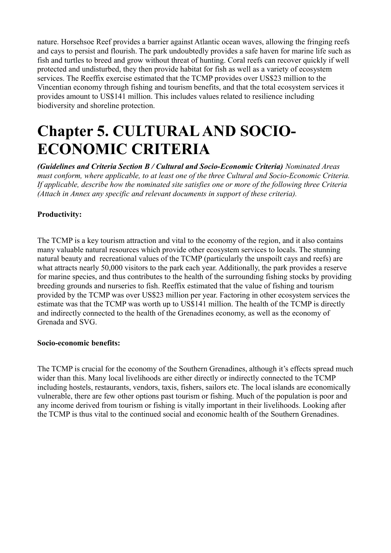nature. Horsehsoe Reef provides a barrier against Atlantic ocean waves, allowing the fringing reefs and cays to persist and flourish. The park undoubtedly provides a safe haven for marine life such as fish and turtles to breed and grow without threat of hunting. Coral reefs can recover quickly if well protected and undisturbed, they then provide habitat for fish as well as a variety of ecosystem services. The Reeffix exercise estimated that the TCMP provides over US\$23 million to the Vincentian economy through fishing and tourism benefits, and that the total ecosystem services it provides amount to US\$141 million. This includes values related to resilience including biodiversity and shoreline protection.

## **Chapter 5. CULTURAL AND SOCIO-ECONOMIC CRITERIA**

*(Guidelines and Criteria Section B / Cultural and Socio-Economic Criteria) Nominated Areas must conform, where applicable, to at least one of the three Cultural and Socio-Economic Criteria. If applicable, describe how the nominated site satisfies one or more of the following three Criteria (Attach in Annex any specific and relevant documents in support of these criteria).*

### **Productivity:**

The TCMP is a key tourism attraction and vital to the economy of the region, and it also contains many valuable natural resources which provide other ecosystem services to locals. The stunning natural beauty and recreational values of the TCMP (particularly the unspoilt cays and reefs) are what attracts nearly 50,000 visitors to the park each year. Additionally, the park provides a reserve for marine species, and thus contributes to the health of the surrounding fishing stocks by providing breeding grounds and nurseries to fish. Reeffix estimated that the value of fishing and tourism provided by the TCMP was over US\$23 million per year. Factoring in other ecosystem services the estimate was that the TCMP was worth up to US\$141 million. The health of the TCMP is directly and indirectly connected to the health of the Grenadines economy, as well as the economy of Grenada and SVG.

#### **Socio-economic benefits:**

The TCMP is crucial for the economy of the Southern Grenadines, although it's effects spread much wider than this. Many local livelihoods are either directly or indirectly connected to the TCMP including hostels, restaurants, vendors, taxis, fishers, sailors etc. The local islands are economically vulnerable, there are few other options past tourism or fishing. Much of the population is poor and any income derived from tourism or fishing is vitally important in their livelihoods. Looking after the TCMP is thus vital to the continued social and economic health of the Southern Grenadines.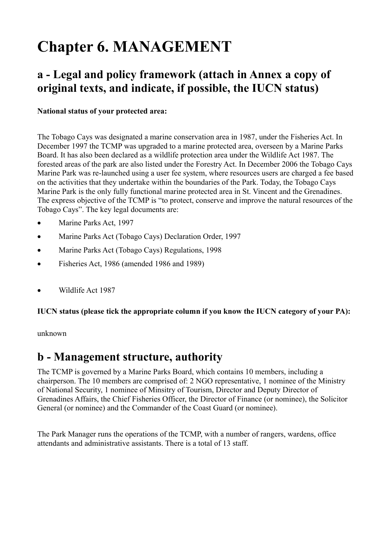## **Chapter 6. MANAGEMENT**

### **a - Legal and policy framework (attach in Annex a copy of original texts, and indicate, if possible, the IUCN status)**

### **National status of your protected area:**

The Tobago Cays was designated a marine conservation area in 1987, under the Fisheries Act. In December 1997 the TCMP was upgraded to a marine protected area, overseen by a Marine Parks Board. It has also been declared as a wildlife protection area under the Wildlife Act 1987. The forested areas of the park are also listed under the Forestry Act. In December 2006 the Tobago Cays Marine Park was re-launched using a user fee system, where resources users are charged a fee based on the activities that they undertake within the boundaries of the Park. Today, the Tobago Cays Marine Park is the only fully functional marine protected area in St. Vincent and the Grenadines. The express objective of the TCMP is "to protect, conserve and improve the natural resources of the Tobago Cays". The key legal documents are:

- Marine Parks Act, 1997
- · Marine Parks Act (Tobago Cays) Declaration Order, 1997
- · Marine Parks Act (Tobago Cays) Regulations, 1998
- · Fisheries Act, 1986 (amended 1986 and 1989)
- Wildlife Act 1987

#### **IUCN status (please tick the appropriate column if you know the IUCN category of your PA):**

unknown

### **b - Management structure, authority**

The TCMP is governed by a Marine Parks Board, which contains 10 members, including a chairperson. The 10 members are comprised of: 2 NGO representative, 1 nominee of the Ministry of National Security, 1 nominee of Minsitry of Tourism, Director and Deputy Director of Grenadines Affairs, the Chief Fisheries Officer, the Director of Finance (or nominee), the Solicitor General (or nominee) and the Commander of the Coast Guard (or nominee).

The Park Manager runs the operations of the TCMP, with a number of rangers, wardens, office attendants and administrative assistants. There is a total of 13 staff.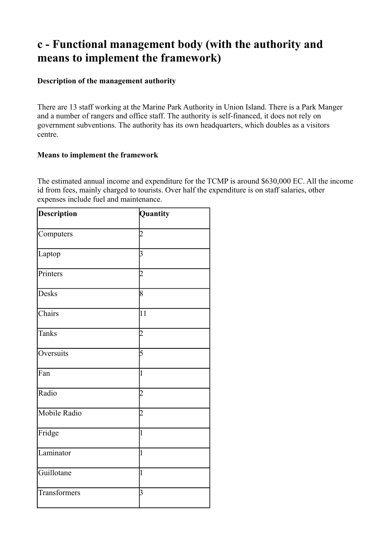### **c - Functional management body (with the authority and means to implement the framework)**

#### **Description of the management authority**

There are 13 staff working at the Marine Park Authority in Union Island. There is a Park Manger and a number of rangers and office staff. The authority is self-financed, it does not rely on government subventions. The authority has its own headquarters, which doubles as a visitors centre.

#### **Means to implement the framework**

The estimated annual income and expenditure for the TCMP is around \$630,000 EC. All the income id from fees, mainly charged to tourists. Over half the expenditure is on staff salaries, other expenses include fuel and maintenance.

| <b>Description</b> | Quantity        |
|--------------------|-----------------|
| Computers          | 2               |
| Laptop             | 3               |
| Printers           | $\overline{2}$  |
| <b>Desks</b>       | 8               |
| Chairs             | $\overline{11}$ |
| <b>Tanks</b>       | $\overline{2}$  |
| Oversuits          | 5               |
| Fan                | 1               |
| Radio              | 2               |
| Mobile Radio       | 2               |
| Fridge             | 1               |
| Laminator          | 1               |
| Guillotane         | 1               |
| Transformers       | 3               |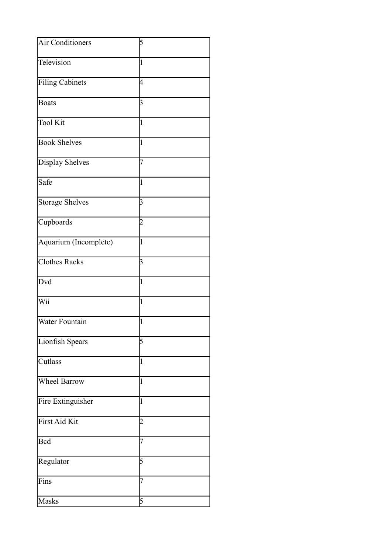| <b>Air Conditioners</b> | 5              |
|-------------------------|----------------|
| Television              | $\mathbf{1}$   |
| <b>Filing Cabinets</b>  | 4              |
| <b>Boats</b>            | 3              |
| <b>Tool Kit</b>         | $\mathbf{1}$   |
| <b>Book Shelves</b>     | $\mathbf{1}$   |
| <b>Display Shelves</b>  | 7              |
| Safe                    | $\overline{1}$ |
| <b>Storage Shelves</b>  | 3              |
| Cupboards               | $\overline{2}$ |
| Aquarium (Incomplete)   | $\mathbf{1}$   |
| <b>Clothes Racks</b>    | 3              |
| Dvd                     | $\mathbf{1}$   |
| Wii                     | $\mathbf{1}$   |
| Water Fountain          | $\mathbf{1}$   |
| Lionfish Spears         | 5              |
| Cutlass                 | $\mathbf{1}$   |
| <b>Wheel Barrow</b>     | $\mathbf{1}$   |
| Fire Extinguisher       | $\mathbf{1}$   |
| First Aid Kit           | $\overline{2}$ |
| <b>Bcd</b>              | 7              |
| Regulator               | 5              |
| Fins                    | 7              |
| Masks                   | 5              |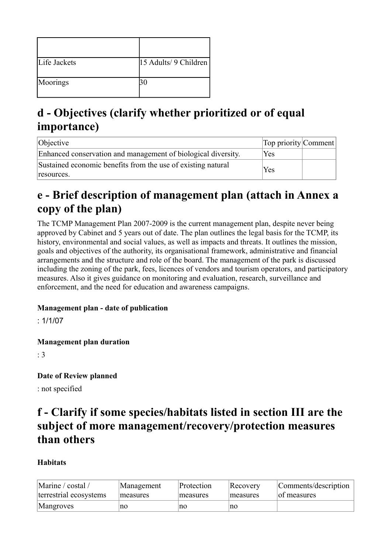| Life Jackets | 15 Adults/ 9 Children |
|--------------|-----------------------|
| Moorings     |                       |

### **d - Objectives (clarify whether prioritized or of equal importance)**

| Objective                                                                  | Top priority Comment |  |
|----------------------------------------------------------------------------|----------------------|--|
| Enhanced conservation and management of biological diversity.              | Yes                  |  |
| Sustained economic benefits from the use of existing natural<br>resources. | Yes                  |  |

### **e - Brief description of management plan (attach in Annex a copy of the plan)**

The TCMP Management Plan 2007-2009 is the current management plan, despite never being approved by Cabinet and 5 years out of date. The plan outlines the legal basis for the TCMP, its history, environmental and social values, as well as impacts and threats. It outlines the mission, goals and objectives of the authority, its organisational framework, administrative and financial arrangements and the structure and role of the board. The management of the park is discussed including the zoning of the park, fees, licences of vendors and tourism operators, and participatory measures. Also it gives guidance on monitoring and evaluation, research, surveillance and enforcement, and the need for education and awareness campaigns.

### **Management plan - date of publication**

: 1/1/07

**Management plan duration** 

: 3

### **Date of Review planned**

: not specified

### **f - Clarify if some species/habitats listed in section III are the subject of more management/recovery/protection measures than others**

### **Habitats**

| Marine / costal /      | Management | Protection | Recovery | Comments/description |
|------------------------|------------|------------|----------|----------------------|
| terrestrial ecosystems | measures   | measures   | measures | of measures          |
| Mangroves              | no         | no         | no       |                      |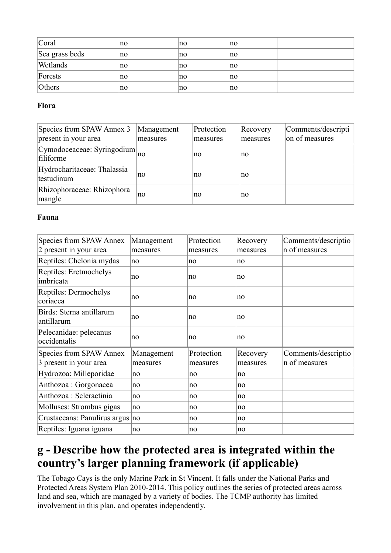| Coral          | no | no | no |  |
|----------------|----|----|----|--|
| Sea grass beds | no | no | no |  |
| Wetlands       | no | no | no |  |
| Forests        | no | no | no |  |
| Others         | no | no | no |  |

### **Flora**

| Species from SPAW Annex 3<br>present in your area | Management<br>measures | Protection<br>measures | Recovery<br>measures | Comments/descripti<br>on of measures |
|---------------------------------------------------|------------------------|------------------------|----------------------|--------------------------------------|
| Cymodoceaceae: Syringodium<br>filiforme           | no                     | no                     | no                   |                                      |
| Hydrocharitaceae: Thalassia<br>testudinum         | no                     | no                     | no                   |                                      |
| Rhizophoraceae: Rhizophora<br>mangle              | no                     | no                     | no                   |                                      |

### **Fauna**

| Species from SPAW Annex                           | Management             | Protection             | Recovery             | Comments/descriptio<br>n of measures |
|---------------------------------------------------|------------------------|------------------------|----------------------|--------------------------------------|
| 2 present in your area                            | measures               | measures               | measures             |                                      |
| Reptiles: Chelonia mydas                          | no                     | no                     | no                   |                                      |
| Reptiles: Eretmochelys<br>imbricata               | no                     | no                     | no                   |                                      |
| Reptiles: Dermochelys<br>coriacea                 | no                     | no                     | no                   |                                      |
| Birds: Sterna antillarum<br>antillarum            | no                     | no                     | no                   |                                      |
| Pelecanidae: pelecanus<br>occidentalis            | no                     | no                     | no                   |                                      |
| Species from SPAW Annex<br>3 present in your area | Management<br>measures | Protection<br>measures | Recovery<br>measures | Comments/descriptio<br>n of measures |
| Hydrozoa: Milleporidae                            | no                     | no                     | no                   |                                      |
| Anthozoa : Gorgonacea                             | no                     | no                     | no                   |                                      |
| Anthozoa : Scleractinia                           | no                     | no                     | no                   |                                      |
| Molluscs: Strombus gigas                          | no                     | no                     | no                   |                                      |
| Crustaceans: Panulirus argus no                   |                        | no                     | no                   |                                      |
| Reptiles: Iguana iguana                           | no                     | no                     | no                   |                                      |

### **g - Describe how the protected area is integrated within the country's larger planning framework (if applicable)**

The Tobago Cays is the only Marine Park in St Vincent. It falls under the National Parks and Protected Areas System Plan 2010-2014. This policy outlines the series of protected areas across land and sea, which are managed by a variety of bodies. The TCMP authority has limited involvement in this plan, and operates independently.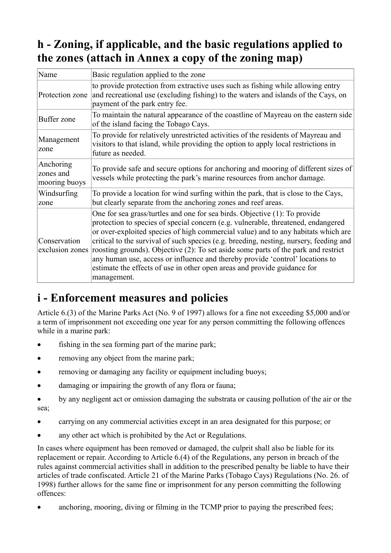### **h - Zoning, if applicable, and the basic regulations applied to the zones (attach in Annex a copy of the zoning map)**

| Name                                    | Basic regulation applied to the zone                                                                                                                                                                                                                                                                                                                                                                                                                                                                                                                                                                             |
|-----------------------------------------|------------------------------------------------------------------------------------------------------------------------------------------------------------------------------------------------------------------------------------------------------------------------------------------------------------------------------------------------------------------------------------------------------------------------------------------------------------------------------------------------------------------------------------------------------------------------------------------------------------------|
| Protection zone                         | to provide protection from extractive uses such as fishing while allowing entry<br>and recreational use (excluding fishing) to the waters and islands of the Cays, on<br>payment of the park entry fee.                                                                                                                                                                                                                                                                                                                                                                                                          |
| Buffer zone                             | To maintain the natural appearance of the coastline of Mayreau on the eastern side<br>of the island facing the Tobago Cays.                                                                                                                                                                                                                                                                                                                                                                                                                                                                                      |
| Management<br>zone                      | To provide for relatively unrestricted activities of the residents of Mayreau and<br>visitors to that island, while providing the option to apply local restrictions in<br>future as needed.                                                                                                                                                                                                                                                                                                                                                                                                                     |
| Anchoring<br>zones and<br>mooring buoys | To provide safe and secure options for anchoring and mooring of different sizes of<br>vessels while protecting the park's marine resources from anchor damage.                                                                                                                                                                                                                                                                                                                                                                                                                                                   |
| Windsurfing<br> zone                    | To provide a location for wind surfing within the park, that is close to the Cays,<br>but clearly separate from the anchoring zones and reef areas.                                                                                                                                                                                                                                                                                                                                                                                                                                                              |
| Conservation<br>exclusion zones         | One for sea grass/turtles and one for sea birds. Objective (1): To provide<br>protection to species of special concern (e.g. vulnerable, threatened, endangered<br>or over-exploited species of high commercial value) and to any habitats which are<br>critical to the survival of such species (e.g. breeding, nesting, nursery, feeding and<br>roosting grounds). Objective (2): To set aside some parts of the park and restrict<br>any human use, access or influence and thereby provide 'control' locations to<br>estimate the effects of use in other open areas and provide guidance for<br>management. |

### **i - Enforcement measures and policies**

Article 6.(3) of the Marine Parks Act (No. 9 of 1997) allows for a fine not exceeding \$5,000 and/or a term of imprisonment not exceeding one year for any person committing the following offences while in a marine park:

- fishing in the sea forming part of the marine park;
- removing any object from the marine park;
- removing or damaging any facility or equipment including buoys:
- · damaging or impairing the growth of any flora or fauna;
- · by any negligent act or omission damaging the substrata or causing pollution of the air or the sea;
- · carrying on any commercial activities except in an area designated for this purpose; or
- any other act which is prohibited by the Act or Regulations.

In cases where equipment has been removed or damaged, the culprit shall also be liable for its replacement or repair. According to Article 6.(4) of the Regulations, any person in breach of the rules against commercial activities shall in addition to the prescribed penalty be liable to have their articles of trade confiscated. Article 21 of the Marine Parks (Tobago Cays) Regulations (No. 26. of 1998) further allows for the same fine or imprisonment for any person committing the following offences:

• anchoring, mooring, diving or filming in the TCMP prior to paying the prescribed fees;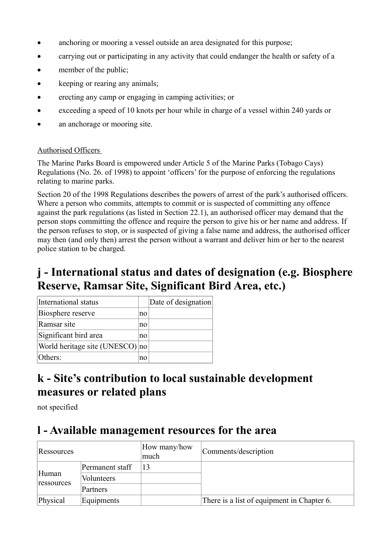- anchoring or mooring a vessel outside an area designated for this purpose;
- carrying out or participating in any activity that could endanger the health or safety of a
- member of the public;
- keeping or rearing any animals;
- · erecting any camp or engaging in camping activities; or
- exceeding a speed of 10 knots per hour while in charge of a vessel within 240 yards or
- an anchorage or mooring site.

#### Authorised Officers

The Marine Parks Board is empowered under Article 5 of the Marine Parks (Tobago Cays) Regulations (No. 26. of 1998) to appoint 'officers' for the purpose of enforcing the regulations relating to marine parks.

Section 20 of the 1998 Regulations describes the powers of arrest of the park's authorised officers. Where a person who commits, attempts to commit or is suspected of committing any offence against the park regulations (as listed in Section 22.1), an authorised officer may demand that the person stops committing the offence and require the person to give his or her name and address. If the person refuses to stop, or is suspected of giving a false name and address, the authorised officer may then (and only then) arrest the person without a warrant and deliver him or her to the nearest police station to be charged.

### **j - International status and dates of designation (e.g. Biosphere Reserve, Ramsar Site, Significant Bird Area, etc.)**

| International status            |    | Date of designation |
|---------------------------------|----|---------------------|
| Biosphere reserve               | no |                     |
| Ramsar site                     | no |                     |
| Significant bird area           | no |                     |
| World heritage site (UNESCO) no |    |                     |
| Others:                         | no |                     |

### **k - Site's contribution to local sustainable development measures or related plans**

not specified

### **l - Available management resources for the area**

| Ressources          |                 | How many/how<br>much | Comments/description                       |
|---------------------|-----------------|----------------------|--------------------------------------------|
|                     | Permanent staff | 13                   |                                            |
| Human<br>ressources | Volunteers      |                      |                                            |
|                     | Partners        |                      |                                            |
| Physical            | Equipments      |                      | There is a list of equipment in Chapter 6. |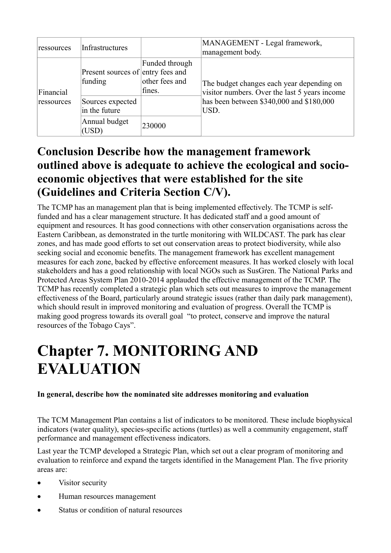| ressources              | Infrastructures                              |                                            | MANAGEMENT - Legal framework,<br>management body.                                          |
|-------------------------|----------------------------------------------|--------------------------------------------|--------------------------------------------------------------------------------------------|
| Financial<br>ressources | Present sources of entry fees and<br>funding | Funded through<br>other fees and<br>fines. | The budget changes each year depending on<br>visitor numbers. Over the last 5 years income |
|                         | Sources expected<br>in the future            |                                            | has been between \$340,000 and \$180,000<br>USD.                                           |
|                         | Annual budget<br>230000<br>(USD)             |                                            |                                                                                            |

### **Conclusion Describe how the management framework outlined above is adequate to achieve the ecological and socioeconomic objectives that were established for the site (Guidelines and Criteria Section C/V).**

The TCMP has an management plan that is being implemented effectively. The TCMP is selffunded and has a clear management structure. It has dedicated staff and a good amount of equipment and resources. It has good connections with other conservation organisations across the Eastern Caribbean, as demonstrated in the turtle monitoring with WILDCAST. The park has clear zones, and has made good efforts to set out conservation areas to protect biodiversity, while also seeking social and economic benefits. The management framework has excellent management measures for each zone, backed by effective enforcement measures. It has worked closely with local stakeholders and has a good relationship with local NGOs such as SusGren. The National Parks and Protected Areas System Plan 2010-2014 applauded the effective management of the TCMP. The TCMP has recently completed a strategic plan which sets out measures to improve the management effectiveness of the Board, particularly around strategic issues (rather than daily park management), which should result in improved monitoring and evaluation of progress. Overall the TCMP is making good progress towards its overall goal "to protect, conserve and improve the natural resources of the Tobago Cays".

## **Chapter 7. MONITORING AND EVALUATION**

### **In general, describe how the nominated site addresses monitoring and evaluation**

The TCM Management Plan contains a list of indicators to be monitored. These include biophysical indicators (water quality), species-specific actions (turtles) as well a community engagement, staff performance and management effectiveness indicators.

Last year the TCMP developed a Strategic Plan, which set out a clear program of monitoring and evaluation to reinforce and expand the targets identified in the Management Plan. The five priority areas are:

- Visitor security
- · Human resources management
- Status or condition of natural resources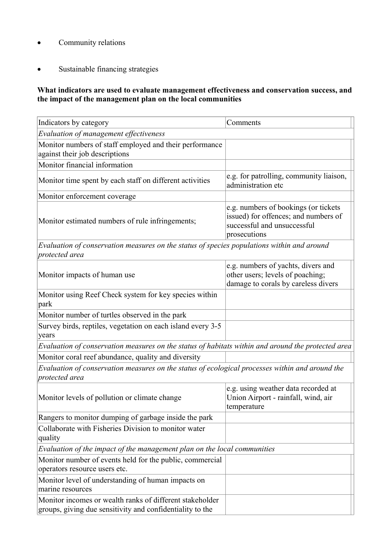- · Community relations
- · Sustainable financing strategies

### **What indicators are used to evaluate management effectiveness and conservation success, and the impact of the management plan on the local communities**

| Indicators by category                                                                                                | Comments                                                                                                                    |
|-----------------------------------------------------------------------------------------------------------------------|-----------------------------------------------------------------------------------------------------------------------------|
| Evaluation of management effectiveness                                                                                |                                                                                                                             |
| Monitor numbers of staff employed and their performance<br>against their job descriptions                             |                                                                                                                             |
| Monitor financial information                                                                                         |                                                                                                                             |
| Monitor time spent by each staff on different activities                                                              | e.g. for patrolling, community liaison,<br>administration etc                                                               |
| Monitor enforcement coverage                                                                                          |                                                                                                                             |
| Monitor estimated numbers of rule infringements;                                                                      | e.g. numbers of bookings (or tickets<br>issued) for offences; and numbers of<br>successful and unsuccessful<br>prosecutions |
| Evaluation of conservation measures on the status of species populations within and around<br>protected area          |                                                                                                                             |
| Monitor impacts of human use                                                                                          | e.g. numbers of yachts, divers and<br>other users; levels of poaching;<br>damage to corals by careless divers               |
| Monitor using Reef Check system for key species within<br>park                                                        |                                                                                                                             |
| Monitor number of turtles observed in the park                                                                        |                                                                                                                             |
| Survey birds, reptiles, vegetation on each island every 3-5<br>years                                                  |                                                                                                                             |
| Evaluation of conservation measures on the status of habitats within and around the protected area                    |                                                                                                                             |
| Monitor coral reef abundance, quality and diversity                                                                   |                                                                                                                             |
| Evaluation of conservation measures on the status of ecological processes within and around the<br>protected area     |                                                                                                                             |
| Monitor levels of pollution or climate change                                                                         | e.g. using weather data recorded at<br>Union Airport - rainfall, wind, air<br>temperature                                   |
| Rangers to monitor dumping of garbage inside the park                                                                 |                                                                                                                             |
| Collaborate with Fisheries Division to monitor water<br>quality                                                       |                                                                                                                             |
| Evaluation of the impact of the management plan on the local communities                                              |                                                                                                                             |
| Monitor number of events held for the public, commercial<br>operators resource users etc.                             |                                                                                                                             |
| Monitor level of understanding of human impacts on<br>marine resources                                                |                                                                                                                             |
| Monitor incomes or wealth ranks of different stakeholder<br>groups, giving due sensitivity and confidentiality to the |                                                                                                                             |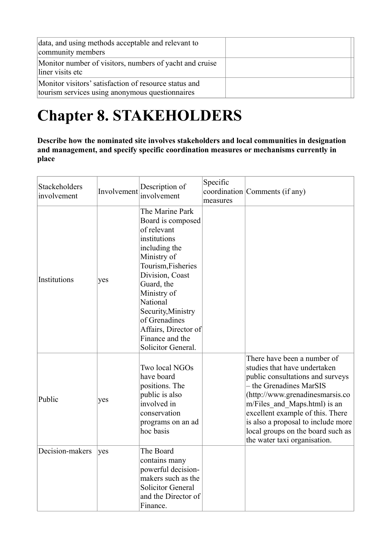| data, and using methods acceptable and relevant to<br>community members                                  |  |
|----------------------------------------------------------------------------------------------------------|--|
| Monitor number of visitors, numbers of yacht and cruise<br>liner visits etc                              |  |
| Monitor visitors' satisfaction of resource status and<br>tourism services using anonymous questionnaires |  |

# **Chapter 8. STAKEHOLDERS**

**Describe how the nominated site involves stakeholders and local communities in designation and management, and specify specific coordination measures or mechanisms currently in place** 

| Stackeholders<br>involvement | Involvement | Description of<br>involvement                                                                                                                                                                                                                                                                 | Specific<br>measures | coordination Comments (if any)                                                                                                                                                                                                                                                                                                               |
|------------------------------|-------------|-----------------------------------------------------------------------------------------------------------------------------------------------------------------------------------------------------------------------------------------------------------------------------------------------|----------------------|----------------------------------------------------------------------------------------------------------------------------------------------------------------------------------------------------------------------------------------------------------------------------------------------------------------------------------------------|
| Institutions                 | yes         | The Marine Park<br>Board is composed<br>of relevant<br>institutions<br>including the<br>Ministry of<br>Tourism, Fisheries<br>Division, Coast<br>Guard, the<br>Ministry of<br>National<br>Security, Ministry<br>of Grenadines<br>Affairs, Director of<br>Finance and the<br>Solicitor General. |                      |                                                                                                                                                                                                                                                                                                                                              |
| Public                       | yes         | Two local NGOs<br>have board<br>positions. The<br>public is also<br>involved in<br>conservation<br>programs on an ad<br>hoc basis                                                                                                                                                             |                      | There have been a number of<br>studies that have undertaken<br>public consultations and surveys<br>- the Grenadines MarSIS<br>(http://www.grenadinesmarsis.co<br>m/Files_and_Maps.html) is an<br>excellent example of this. There<br>is also a proposal to include more<br>local groups on the board such as<br>the water taxi organisation. |
| Decision-makers              | yes         | The Board<br>contains many<br>powerful decision-<br>makers such as the<br><b>Solicitor General</b><br>and the Director of<br>Finance.                                                                                                                                                         |                      |                                                                                                                                                                                                                                                                                                                                              |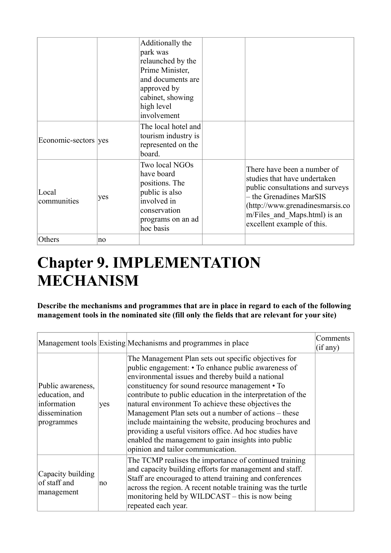|                      |     | Additionally the<br>park was<br>relaunched by the<br>Prime Minister,<br>and documents are<br>approved by<br>cabinet, showing<br>high level<br>involvement |                                                                                                                                                                                                                             |
|----------------------|-----|-----------------------------------------------------------------------------------------------------------------------------------------------------------|-----------------------------------------------------------------------------------------------------------------------------------------------------------------------------------------------------------------------------|
| Economic-sectors yes |     | The local hotel and<br>tourism industry is<br>represented on the<br>board.                                                                                |                                                                                                                                                                                                                             |
| Local<br>communities | yes | Two local NGOs<br>have board<br>positions. The<br>public is also<br>involved in<br>conservation<br>programs on an ad<br>hoc basis                         | There have been a number of<br>studies that have undertaken<br>public consultations and surveys<br>- the Grenadines MarSIS<br>(http://www.grenadinesmarsis.co<br>m/Files and Maps.html) is an<br>excellent example of this. |
| Others               | no  |                                                                                                                                                           |                                                                                                                                                                                                                             |

## **Chapter 9. IMPLEMENTATION MECHANISM**

**Describe the mechanisms and programmes that are in place in regard to each of the following management tools in the nominated site (fill only the fields that are relevant for your site)** 

|                                                                                   |     | Management tools Existing Mechanisms and programmes in place                                                                                                                                                                                                                                                                                                                                                                                                                                                                                                                                                         | Comments<br>(if any) |
|-----------------------------------------------------------------------------------|-----|----------------------------------------------------------------------------------------------------------------------------------------------------------------------------------------------------------------------------------------------------------------------------------------------------------------------------------------------------------------------------------------------------------------------------------------------------------------------------------------------------------------------------------------------------------------------------------------------------------------------|----------------------|
| Public awareness,<br>education, and<br>information<br>dissemination<br>programmes | yes | The Management Plan sets out specific objectives for<br>public engagement: • To enhance public awareness of<br>environmental issues and thereby build a national<br>constituency for sound resource management • To<br>contribute to public education in the interpretation of the<br>natural environment To achieve these objectives the<br>Management Plan sets out a number of actions – these<br>include maintaining the website, producing brochures and<br>providing a useful visitors office. Ad hoc studies have<br>enabled the management to gain insights into public<br>opinion and tailor communication. |                      |
| Capacity building<br>of staff and<br>management                                   | no  | The TCMP realises the importance of continued training<br>and capacity building efforts for management and staff.<br>Staff are encouraged to attend training and conferences<br>across the region. A recent notable training was the turtle<br>monitoring held by WILDCAST – this is now being<br>repeated each year.                                                                                                                                                                                                                                                                                                |                      |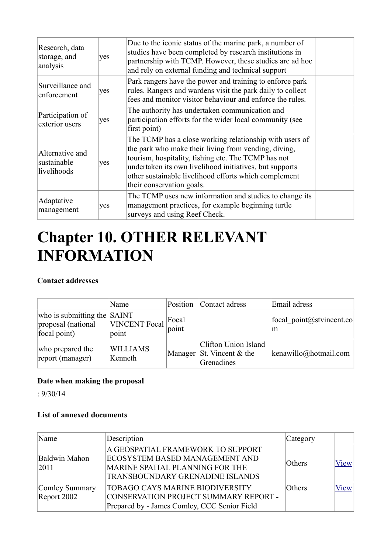| Research, data<br>storage, and<br>analysis    | yes | Due to the iconic status of the marine park, a number of<br>studies have been completed by research institutions in<br>partnership with TCMP. However, these studies are ad hoc<br>and rely on external funding and technical support                                                                                   |  |
|-----------------------------------------------|-----|-------------------------------------------------------------------------------------------------------------------------------------------------------------------------------------------------------------------------------------------------------------------------------------------------------------------------|--|
| Surveillance and<br>enforcement               | yes | Park rangers have the power and training to enforce park<br>rules. Rangers and wardens visit the park daily to collect<br>fees and monitor visitor behaviour and enforce the rules.                                                                                                                                     |  |
| Participation of<br>exterior users            | yes | The authority has undertaken communication and<br>participation efforts for the wider local community (see<br>first point)                                                                                                                                                                                              |  |
| Alternative and<br>sustainable<br>livelihoods | yes | The TCMP has a close working relationship with users of<br>the park who make their living from vending, diving,<br>tourism, hospitality, fishing etc. The TCMP has not<br>undertaken its own livelihood initiatives, but supports<br>other sustainable livelihood efforts which complement<br>their conservation goals. |  |
| Adaptative<br>management                      | yes | The TCMP uses new information and studies to change its<br>management practices, for example beginning turtle<br>surveys and using Reef Check.                                                                                                                                                                          |  |

## **Chapter 10. OTHER RELEVANT INFORMATION**

### **Contact addresses**

|                                                                           | Name                          |                 | Position Contact adress                                           | Email adress                   |
|---------------------------------------------------------------------------|-------------------------------|-----------------|-------------------------------------------------------------------|--------------------------------|
| who is submitting the $\vert$ SAINT<br>proposal (national<br>focal point) | <b>VINCENT Focal</b><br>point | Focal<br> point |                                                                   | focal point@stvincent.co<br>m  |
| who prepared the<br>report (manager)                                      | <b>WILLIAMS</b><br>Kenneth    |                 | Clifton Union Island<br>Manager St. Vincent $&$ the<br>Grenadines | $\left $ kenawillo@hotmail.com |

### **Date when making the proposal**

: 9/30/14

### **List of annexed documents**

| Name                            | Description                                                                                                                                      | Category |             |
|---------------------------------|--------------------------------------------------------------------------------------------------------------------------------------------------|----------|-------------|
| Baldwin Mahon<br> 2011          | A GEOSPATIAL FRAMEWORK TO SUPPORT<br><b>ECOSYSTEM BASED MANAGEMENT AND</b><br>MARINE SPATIAL PLANNING FOR THE<br>TRANSBOUNDARY GRENADINE ISLANDS | Others   | <b>View</b> |
| Comley Summary<br>Report $2002$ | <b>TOBAGO CAYS MARINE BIODIVERSITY</b><br>CONSERVATION PROJECT SUMMARY REPORT -<br>Prepared by - James Comley, CCC Senior Field                  | Others   | View        |